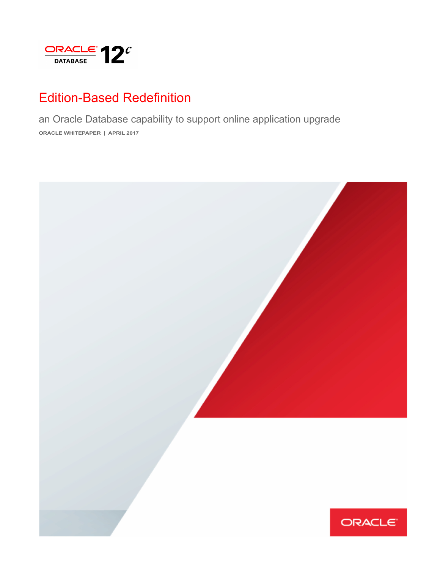

# Edition-Based Redefinition

an Oracle Database capability to support online application upgrade **ORACLE WHITEPAPER | APRIL 2017**

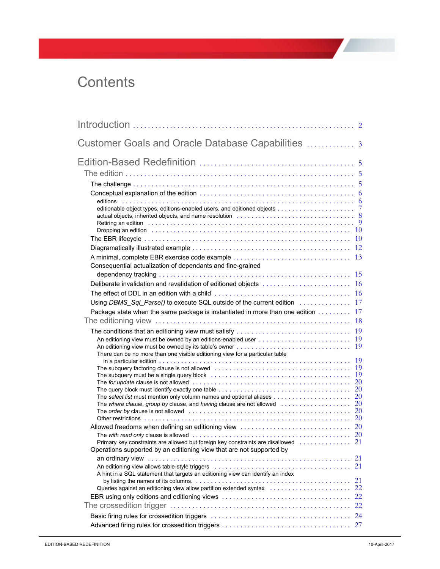# **Contents**

| Customer Goals and Oracle Database Capabilities  3                                                                                                                                                                                                                                                                                                                                                                                                                       |          |
|--------------------------------------------------------------------------------------------------------------------------------------------------------------------------------------------------------------------------------------------------------------------------------------------------------------------------------------------------------------------------------------------------------------------------------------------------------------------------|----------|
| actual objects, inherited objects, and name resolution <i>mass contained contained series</i> and series and series and                                                                                                                                                                                                                                                                                                                                                  |          |
| Retiring an edition <i>witch in the content of the content of the content of the content of the content of</i> $9$                                                                                                                                                                                                                                                                                                                                                       |          |
| Consequential actualization of dependants and fine-grained                                                                                                                                                                                                                                                                                                                                                                                                               |          |
| Package state when the same package is instantiated in more than one edition $\ldots \ldots \ldots$ 17                                                                                                                                                                                                                                                                                                                                                                   |          |
| An editioning view must be owned by an editions-enabled user $\dots\dots\dots\dots\dots\dots\dots\dots\dots$<br>There can be no more than one visible editioning view for a particular table                                                                                                                                                                                                                                                                             |          |
| The subquery factoring clause is not allowed (interactional content interaction of 19)<br>The query block must identify exactly one table $\ldots \ldots \ldots \ldots \ldots \ldots \ldots \ldots \ldots \ldots \ldots \ldots 20$<br>The select list must mention only column names and optional aliases $\ldots \ldots \ldots \ldots \ldots \ldots 20$<br>The where clause, group by clause, and having clause are not allowed $\ldots \ldots \ldots \ldots \ldots 20$ |          |
| Allowed freedoms when defining an editioning view contract contracts of the 20<br>Primary key constraints are allowed but foreign key constraints are disallowed  21<br>Operations supported by an editioning view that are not supported by                                                                                                                                                                                                                             |          |
| An editioning view allows table-style triggers (and contain an according or an according view allows table-style triggers (and contained according $21$<br>A hint in a SQL statement that targets an editioning view can identify an index                                                                                                                                                                                                                               | 21<br>21 |
|                                                                                                                                                                                                                                                                                                                                                                                                                                                                          | 22       |
|                                                                                                                                                                                                                                                                                                                                                                                                                                                                          |          |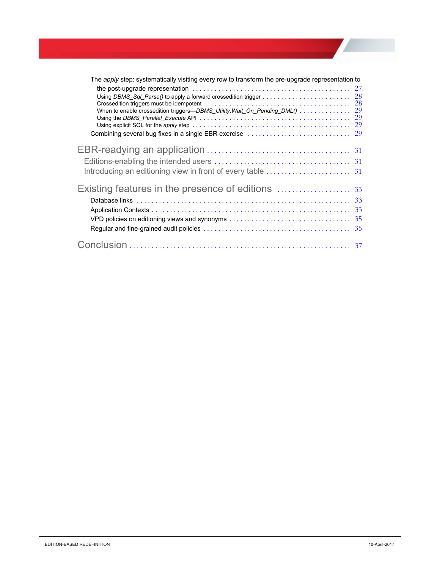| The apply step: systematically visiting every row to transform the pre-upgrade representation to<br>Crossedition triggers must be idempotent (all contained according to the crossedition triggers must be idempotent (b) and the contained according to the cross of $28$<br>When to enable crossedition triggers—DBMS_Utility.Wait_On_Pending_DML() 29 | 27 |
|----------------------------------------------------------------------------------------------------------------------------------------------------------------------------------------------------------------------------------------------------------------------------------------------------------------------------------------------------------|----|
|                                                                                                                                                                                                                                                                                                                                                          |    |
|                                                                                                                                                                                                                                                                                                                                                          |    |
|                                                                                                                                                                                                                                                                                                                                                          |    |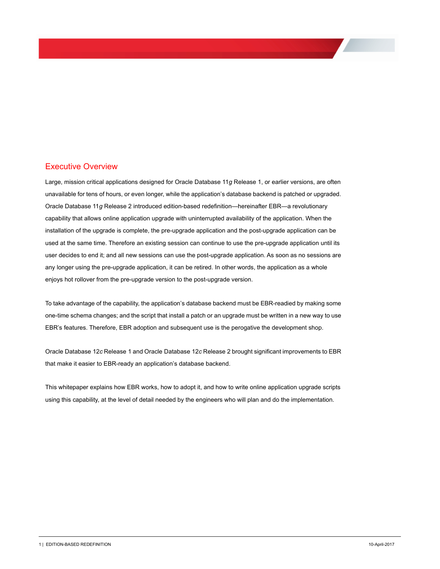# Executive Overview

Large, mission critical applications designed for Oracle Database 11*g* Release 1, or earlier versions, are often unavailable for tens of hours, or even longer, while the application's database backend is patched or upgraded. Oracle Database 11*g* Release 2 introduced edition-based redefinition—hereinafter EBR—a revolutionary capability that allows online application upgrade with uninterrupted availability of the application. When the installation of the upgrade is complete, the pre-upgrade application and the post-upgrade application can be used at the same time. Therefore an existing session can continue to use the pre-upgrade application until its user decides to end it; and all new sessions can use the post-upgrade application. As soon as no sessions are any longer using the pre-upgrade application, it can be retired. In other words, the application as a whole enjoys hot rollover from the pre-upgrade version to the post-upgrade version.

To take advantage of the capability, the application's database backend must be EBR-readied by making some one-time schema changes; and the script that install a patch or an upgrade must be written in a new way to use EBR's features. Therefore, EBR adoption and subsequent use is the perogative the development shop.

Oracle Database 12*c* Release 1 and Oracle Database 12*c* Release 2 brought significant improvements to EBR that make it easier to EBR-ready an application's database backend.

This whitepaper explains how EBR works, how to adopt it, and how to write online application upgrade scripts using this capability, at the level of detail needed by the engineers who will plan and do the implementation.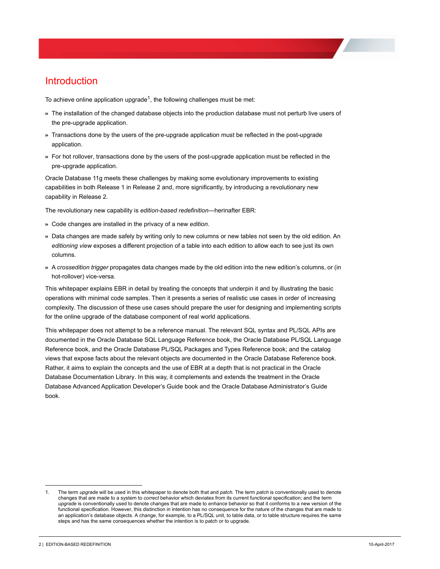# <span id="page-4-0"></span>**Introduction**

To achieve online application upgrade<sup>1</sup>, the following challenges must be met:

- >> The installation of the changed database objects into the production database must not perturb live users of the pre-upgrade application.
- >> Transactions done by the users of the pre-upgrade application must be reflected in the post-upgrade application.
- >> For hot rollover, transactions done by the users of the post-upgrade application must be reflected in the pre-upgrade application.

Oracle Database 11g meets these challenges by making some evolutionary improvements to existing capabilities in both Release 1 in Release 2 and, more significantly, by introducing a revolutionary new capability in Release 2.

The revolutionary new capability is *edition-based redefinition*—herinafter EBR:

- >> Code changes are installed in the privacy of a new *edition*.
- >> Data changes are made safely by writing only to new columns or new tables not seen by the old edition. An *editioning view* exposes a different projection of a table into each edition to allow each to see just its own columns.
- >> A *crossedition trigger* propagates data changes made by the old edition into the new edition's columns, or (in hot-rollover) vice-versa.

This whitepaper explains EBR in detail by treating the concepts that underpin it and by illustrating the basic operations with minimal code samples. Then it presents a series of realistic use cases in order of increasing complexity. The discussion of these use cases should prepare the user for designing and implementing scripts for the online upgrade of the database component of real world applications.

This whitepaper does not attempt to be a reference manual. The relevant SQL syntax and PL/SQL APIs are documented in the Oracle Database SQL Language Reference book, the Oracle Database PL/SQL Language Reference book, and the Oracle Database PL/SQL Packages and Types Reference book; and the catalog views that expose facts about the relevant objects are documented in the Oracle Database Reference book. Rather, it aims to explain the concepts and the use of EBR at a depth that is not practical in the Oracle Database Documentation Library. In this way, it complements and extends the treatment in the Oracle Database Advanced Application Developer's Guide book and the Oracle Database Administrator's Guide book.

<sup>1.</sup> The term *upgrade* will be used in this whitepaper to denote both that and *patch*. The term *patch* is conventionally used to denote changes that are made to a system to *correct* behavior which deviates from its current functional specification; and the term *upgrade* is conventionally used to denote changes that are made to *enhance* behavior so that it conforms to a new version of the functional specification. However, this distinction in intention has no consequence for the nature of the changes that are made to an application's database objects. A change, for example, to a PL/SQL unit, to table data, or to table structure requires the same steps and has the same consequences whether the intention is to patch or to upgrade.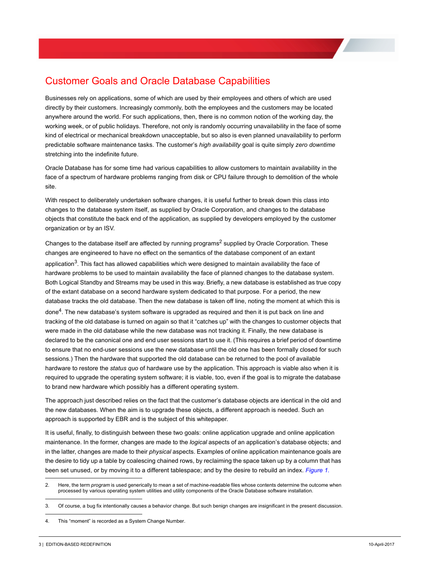# <span id="page-5-0"></span>Customer Goals and Oracle Database Capabilities

Businesses rely on applications, some of which are used by their employees and others of which are used directly by their customers. Increasingly commonly, both the employees and the customers may be located anywhere around the world. For such applications, then, there is no common notion of the working day, the working week, or of public holidays. Therefore, not only is randomly occurring unavailability in the face of some kind of electrical or mechanical breakdown unacceptable, but so also is even planned unavailability to perform predictable software maintenance tasks. The customer's *high availability* goal is quite simply *zero downtime* stretching into the indefinite future.

Oracle Database has for some time had various capabilities to allow customers to maintain availability in the face of a spectrum of hardware problems ranging from disk or CPU failure through to demolition of the whole site.

With respect to deliberately undertaken software changes, it is useful further to break down this class into changes to the database system itself, as supplied by Oracle Corporation, and changes to the database objects that constitute the back end of the application, as supplied by developers employed by the customer organization or by an ISV.

Changes to the database itself are affected by running programs<sup>2</sup> supplied by Oracle Corporation. These changes are engineered to have no effect on the semantics of the database component of an extant application $3$ . This fact has allowed capabilities which were designed to maintain availability the face of hardware problems to be used to maintain availability the face of planned changes to the database system. Both Logical Standby and Streams may be used in this way. Briefly, a new database is established as true copy of the extant database on a second hardware system dedicated to that purpose. For a period, the new database tracks the old database. Then the new database is taken off line, noting the moment at which this is done4. The new database's system software is upgraded as required and then it is put back on line and tracking of the old database is turned on again so that it "catches up" with the changes to customer objects that were made in the old database while the new database was not tracking it. Finally, the new database is declared to be the canonical one and end user sessions start to use it. (This requires a brief period of downtime to ensure that no end-user sessions use the new database until the old one has been formally closed for such sessions.) Then the hardware that supported the old database can be returned to the pool of available hardware to restore the *status quo* of hardware use by the application. This approach is viable also when it is required to upgrade the operating system software; it is viable, too, even if the goal is to migrate the database to brand new hardware which possibly has a different operating system.

The approach just described relies on the fact that the customer's database objects are identical in the old and the new databases. When the aim is to upgrade these objects, a different approach is needed. Such an approach is supported by EBR and is the subject of this whitepaper.

It is useful, finally, to distinguish between these two goals: online application upgrade and online application maintenance. In the former, changes are made to the *logical* aspects of an application's database objects; and in the latter, changes are made to their *physical* aspects. Examples of online application maintenance goals are the desire to tidy up a table by coalescing chained rows, by reclaiming the space taken up by a column that has been set unused, or by moving it to a different tablespace; and by the desire to rebuild an index. *Figure 1.*

<sup>2.</sup> Here, the term *program* is used generically to mean a set of machine-readable files whose contents determine the outcome when processed by various operating system utilities and utility components of the Oracle Database software installation.

<sup>3.</sup> Of course, a bug fix intentionally causes a behavior change. But such benign changes are insignificant in the present discussion.

<sup>4.</sup> This "moment" is recorded as a System Change Number.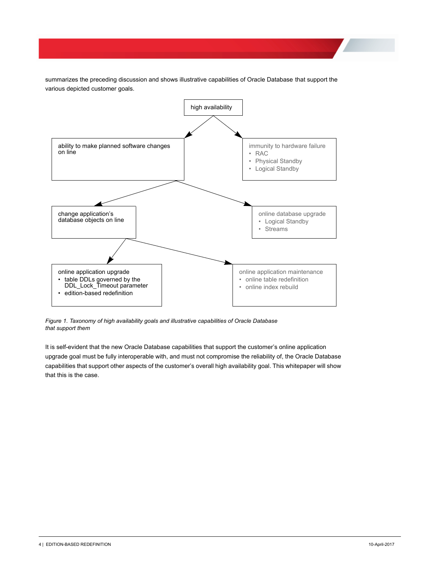summarizes the preceding discussion and shows illustrative capabilities of Oracle Database that support the various depicted customer goals.



*Figure 1. Taxonomy of high availability goals and illustrative capabilities of Oracle Database that support them*

It is self-evident that the new Oracle Database capabilities that support the customer's online application upgrade goal must be fully interoperable with, and must not compromise the reliability of, the Oracle Database capabilities that support other aspects of the customer's overall high availability goal. This whitepaper will show that this is the case.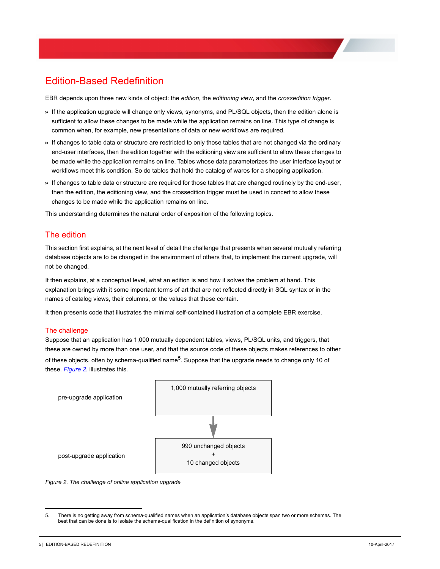# <span id="page-7-0"></span>Edition-Based Redefinition

EBR depends upon three new kinds of object: the *edition*, the *editioning view*, and the *crossedition trigger*.

- >> If the application upgrade will change only views, synonyms, and PL/SQL objects, then the edition alone is sufficient to allow these changes to be made while the application remains on line. This type of change is common when, for example, new presentations of data or new workflows are required.
- >> If changes to table data or structure are restricted to only those tables that are not changed via the ordinary end-user interfaces, then the edition together with the editioning view are sufficient to allow these changes to be made while the application remains on line. Tables whose data parameterizes the user interface layout or workflows meet this condition. So do tables that hold the catalog of wares for a shopping application.
- >> If changes to table data or structure are required for those tables that are changed routinely by the end-user, then the edition, the editioning view, and the crossedition trigger must be used in concert to allow these changes to be made while the application remains on line.

This understanding determines the natural order of exposition of the following topics.

# <span id="page-7-1"></span>The edition

This section first explains, at the next level of detail the challenge that presents when several mutually referring database objects are to be changed in the environment of others that, to implement the current upgrade, will not be changed.

It then explains, at a conceptual level, what an edition is and how it solves the problem at hand. This explanation brings with it some important terms of art that are not reflected directly in SQL syntax or in the names of catalog views, their columns, or the values that these contain.

It then presents code that illustrates the minimal self-contained illustration of a complete EBR exercise.

#### <span id="page-7-2"></span>The challenge

Suppose that an application has 1,000 mutually dependent tables, views, PL/SQL units, and triggers, that these are owned by more than one user, and that the source code of these objects makes references to other of these objects, often by schema-qualified name<sup>5</sup>. Suppose that the upgrade needs to change only 10 of these. *Figure 2.* illustrates this.





<sup>5.</sup> There is no getting away from schema-qualified names when an application's database objects span two or more schemas. The best that can be done is to isolate the schema-qualification in the definition of synonyms.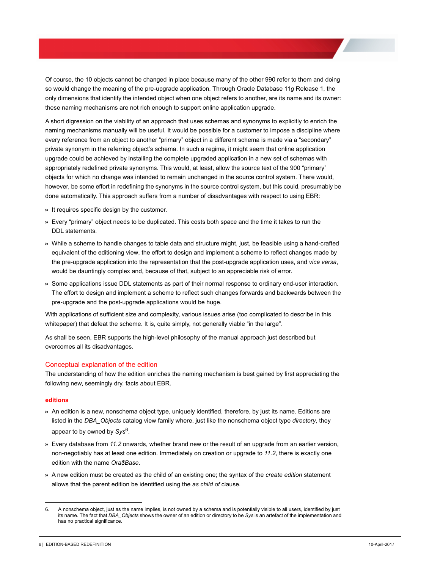Of course, the 10 objects cannot be changed in place because many of the other 990 refer to them and doing so would change the meaning of the pre-upgrade application. Through Oracle Database 11*g* Release 1, the only dimensions that identify the intended object when one object refers to another, are its name and its owner: these naming mechanisms are not rich enough to support online application upgrade.

A short digression on the viability of an approach that uses schemas and synonyms to explicitly to enrich the naming mechanisms manually will be useful. It would be possible for a customer to impose a discipline where every reference from an object to another "primary" object in a different schema is made via a "secondary" private synonym in the referring object's schema. In such a regime, it might seem that online application upgrade could be achieved by installing the complete upgraded application in a new set of schemas with appropriately redefined private synonyms. This would, at least, allow the source text of the 900 "primary" objects for which no change was intended to remain unchanged in the source control system. There would, however, be some effort in redefining the synonyms in the source control system, but this could, presumably be done automatically. This approach suffers from a number of disadvantages with respect to using EBR:

- >> It requires specific design by the customer.
- >> Every "primary" object needs to be duplicated. This costs both space and the time it takes to run the DDL statements.
- >> While a scheme to handle changes to table data and structure might, just, be feasible using a hand-crafted equivalent of the editioning view, the effort to design and implement a scheme to reflect changes made by the pre-upgrade application into the representation that the post-upgrade application uses, and *vice versa*, would be dauntingly complex and, because of that, subject to an appreciable risk of error.
- >> Some applications issue DDL statements as part of their normal response to ordinary end-user interaction. The effort to design and implement a scheme to reflect such changes forwards and backwards between the pre-upgrade and the post-upgrade applications would be huge.

With applications of sufficient size and complexity, various issues arise (too complicated to describe in this whitepaper) that defeat the scheme. It is, quite simply, not generally viable "in the large".

As shall be seen, EBR supports the high-level philosophy of the manual approach just described but overcomes all its disadvantages.

### <span id="page-8-0"></span>Conceptual explanation of the edition

The understanding of how the edition enriches the naming mechanism is best gained by first appreciating the following new, seemingly dry, facts about EBR.

#### <span id="page-8-1"></span>**editions**

- >> An edition is a new, nonschema object type, uniquely identified, therefore, by just its name. Editions are listed in the *DBA\_Objects* catalog view family where, just like the nonschema object type *directory*, they appear to by owned by Sys<sup>6</sup>.
- >> Every database from *11.2* onwards, whether brand new or the result of an upgrade from an earlier version, non-negotiably has at least one edition. Immediately on creation or upgrade to *11.2*, there is exactly one edition with the name *Ora\$Base*.
- >> A new edition must be created as the child of an existing one; the syntax of the *create edition* statement allows that the parent edition be identified using the *as child of* clause.

<sup>6.</sup> A nonschema object, just as the name implies, is not owned by a schema and is potentially visible to all users, identified by just its name. The fact that *DBA\_Objects* shows the owner of an edition or directory to be *Sys* is an artefact of the implementation and has no practical significance.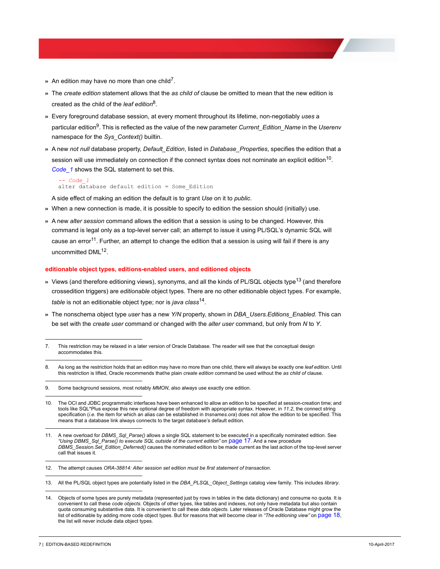- $\ast$  An edition may have no more than one child<sup>7</sup>.
- >> The *create edition* statement allows that the *as child of* clause be omitted to mean that the new edition is created as the child of the *leaf edition*8.
- >> Every foreground database session, at every moment throughout its lifetime, non-negotiably *uses* a particular edition9. This is reflected as the value of the new parameter *Current\_Edition\_Name* in the *Userenv* namespace for the *Sys\_Context()* builtin.
- >> A new *not null* database property, *Default\_Edition*, listed in *Database\_Properties*, specifies the edition that a session will use immediately on connection if the connect syntax does not nominate an explicit edition<sup>10</sup>. *Code\_1* shows the SQL statement to set this.

```
-- Code_1<br>alter database default edition = Some_Edition
```
A side effect of making an edition the default is to grant *Use* on it to *public*.

- >> When a new connection is made, it is possible to specify to edition the session should (initially) use.
- >> A new *alter session* command allows the edition that a session is using to be changed. However, this command is legal only as a top-level server call; an attempt to issue it using PL/SQL's dynamic SQL will cause an error<sup>11</sup>. Further, an attempt to change the edition that a session is using will fail if there is any uncommitted DML<sup>12</sup>.

#### <span id="page-9-0"></span>**editionable object types, editions-enabled users, and editioned objects**

- » Views (and therefore editioning views), synonyms, and all the kinds of PL/SQL objects type<sup>13</sup> (and therefore crossedition triggers) are *editionable* object types. There are no other editionable object types. For example, *table* is not an editionable object type; nor is *java class*14.
- >> The nonschema object type *user* has a new *Y/N* property, shown in *DBA\_Users.Editions\_Enabled*. This can be set with the *create user* command or changed with the *alter user* command, but only from *N* to *Y*.

10. The OCI and JDBC programmatic interfaces have been enhanced to allow an edition to be specified at session-creation time; and tools like SQL\*Plus expose this new optional degree of freedom with appropriate syntax. However, in *11.2*, the connect string specification (*i.e.* the item for which an alias can be established in *tnsnames.ora*) does not allow the edition to be specified. This means that a database link always connects to the target database's default edition.

<sup>7.</sup> This restriction may be relaxed in a later version of Oracle Database. The reader will see that the conceptual design accommodates this.

<sup>8.</sup> As long as the restriction holds that an edition may have no more than one child, there will always be exactly one *leaf edition*. Until this restriction is lifted, Oracle recommends thathe plain *create edition* command be used without the *as child of* clause.

<sup>9.</sup> Some background sessions, most notably *MMON*, also always use exactly one edition.

<sup>11.</sup> A new overload for *DBMS\_Sql\_Parse()* allows a single SQL statement to be executed in a specifically nominated edition. See *["Using DBMS\\_Sql\\_Parse\(\) to execute SQL outside of the current edition"](#page-19-0)* on page 17. And a new procedure *DBMS\_Session.Set\_Edition\_Deferred()* causes the nominated edition to be made current as the last action of the top-level server call that issues it.

<sup>12.</sup> The attempt causes *ORA-38814: Alter session set edition must be first statement of transaction*.

<sup>13.</sup> All the PL/SQL object types are potentially listed in the *DBA\_PLSQL\_Object\_Settings* catalog view family. This includes *library*.

<sup>14.</sup> Objects of some types are purely metadata (represented just by rows in tables in the data dictionary) and consume no quota. It is convenient to call these *code objects*. Objects of other types, like tables and indexes, not only have metadata but also contain quota consuming substantive data. It is convenient to call these *data objects*. Later releases of Oracle Database might grow the list of editionable by adding more code object types. But for reasons that will become clear in *["The editioning view"](#page-20-0)* on page 18, the list will never include data object types.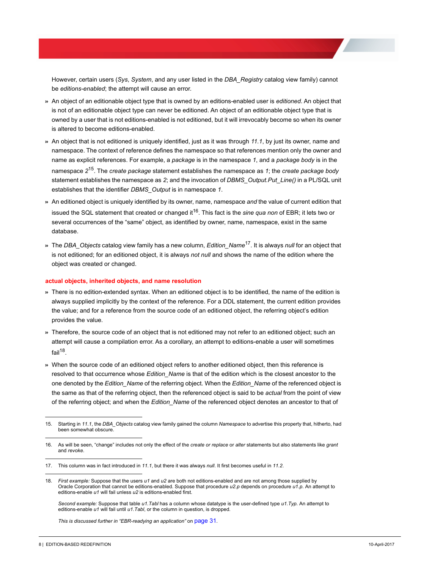However, certain users (*Sys*, *System*, and any user listed in the *DBA\_Registry* catalog view family) cannot be *editions-enabled*; the attempt will cause an error.

- >> An object of an editionable object type that is owned by an editions-enabled user is *editioned*. An object that is not of an editionable object type can never be editioned. An object of an editionable object type that is owned by a user that is not editions-enabled is not editioned, but it will irrevocably become so when its owner is altered to become editions-enabled.
- >> An object that is not editioned is uniquely identified, just as it was through *11.1*, by just its owner, name and namespace. The context of reference defines the namespace so that references mention only the owner and name as explicit references. For example, a *package* is in the namespace *1*, and a *package body* is in the namespace *2*15. The *create package* statement establishes the namespace as *1*; the *create package body* statement establishes the namespace as *2*; and the invocation of *DBMS\_Output.Put\_Line()* in a PL/SQL unit establishes that the identifier *DBMS\_Output* is in namespace *1*.
- >> An editioned object is uniquely identified by its owner, name, namespace *and* the value of current edition that issued the SQL statement that created or changed it<sup>16</sup>. This fact is the *sine qua non* of EBR; it lets two or several occurrences of the "same" object, as identified by owner, name, namespace, exist in the same database.
- >> The *DBA\_Objects* catalog view family has a new column, *Edition\_Name*17. It is always *null* for an object that is not editioned; for an editioned object, it is always *not null* and shows the name of the edition where the object was created or changed.

#### <span id="page-10-0"></span>**actual objects, inherited objects, and name resolution**

- >> There is no edition-extended syntax. When an editioned object is to be identified, the name of the edition is always supplied implicitly by the context of the reference. For a DDL statement, the current edition provides the value; and for a reference from the source code of an editioned object, the referring object's edition provides the value.
- >> Therefore, the source code of an object that is not editioned may not refer to an editioned object; such an attempt will cause a compilation error. As a corollary, an attempt to editions-enable a user will sometimes fail $18$ .
- >> When the source code of an editioned object refers to another editioned object, then this reference is resolved to that occurrence whose *Edition\_Name* is that of the edition which is the closest ancestor to the one denoted by the *Edition\_Name* of the referring object. When the *Edition\_Name* of the referenced object is the same as that of the referring object, then the referenced object is said to be *actual* from the point of view of the referring object; and when the *Edition\_Name* of the referenced object denotes an ancestor to that of

*This is discussed further in ["EBR-readying an application"](#page-33-0)* on page 31*.*

<sup>15.</sup> Starting in *11.1*, the *DBA\_Objects* catalog view family gained the column *Namespace* to advertise this property that, hitherto, had been somewhat obscure.

<sup>16.</sup> As will be seen, "change" includes not only the effect of the *create or replace* or *alter* statements but also statements like *grant* and *revoke*.

<sup>17.</sup> This column was in fact introduced in *11.1*, but there it was always *null*. It first becomes useful in *11.2*.

<sup>18.</sup> *First example:* Suppose that the users *u1* and *u2* are both not editions-enabled and are not among those supplied by Oracle Corporation that cannot be editions-enabled. Suppose that procedure *u2.p* depends on procedure *u1.p*. An attempt to editions-enable *u1* will fail unless *u2* is editions-enabled first.

*Second example:* Suppose that table *u1.Tabl* has a column whose datatype is the user-defined type *u1.Typ*. An attempt to editions-enable *u1* will fail until *u1.Tabl*, or the column in question, is dropped*.*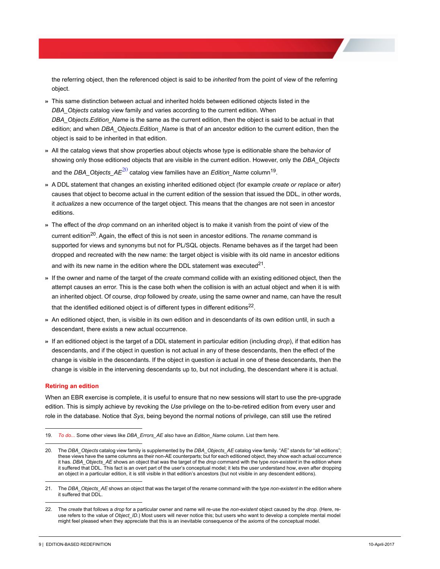the referring object, then the referenced object is said to be *inherited* from the point of view of the referring object.

- >> This same distinction between actual and inherited holds between editioned objects listed in the *DBA\_Objects* catalog view family and varies according to the current edition. When *DBA\_Objects*.*Edition\_Name* is the same as the current edition, then the object is said to be actual in that edition; and when *DBA\_Objects*.*Edition\_Name* is that of an ancestor edition to the current edition, then the object is said to be inherited in that edition.
- >> All the catalog views that show properties about objects whose type is editionable share the behavior of showing only those editioned objects that are visible in the current edition. However, only the *DBA\_Objects* and the *DBA* Objects  $AE^{20}$  catalog view families have an *Edition\_Name* column<sup>19</sup>.
- >> A DDL statement that changes an existing inherited editioned object (for example *create or replace* or *alter*) causes that object to become actual in the current edition of the session that issued the DDL, in other words, it *actualizes* a new occurrence of the target object. This means that the changes are not seen in ancestor editions.
- >> The effect of the *drop* command on an inherited object is to make it vanish from the point of view of the current edition20. Again, the effect of this is not seen in ancestor editions. The *rename* command is supported for views and synonyms but not for PL/SQL objects. Rename behaves as if the target had been dropped and recreated with the new name: the target object is visible with its old name in ancestor editions and with its new name in the edition where the DDL statement was executed $^{21}$ .
- >> If the owner and name of the target of the *create* command collide with an existing editioned object, then the attempt causes an error. This is the case both when the collision is with an actual object and when it is with an inherited object. Of course, *drop* followed by *create*, using the same owner and name, can have the result that the identified editioned object is of different types in different editions<sup>22</sup>.
- >> An editioned object, then, is visible in its own edition and in descendants of its own edition until, in such a descendant, there exists a new actual occurrence.
- >> If an editioned object is the target of a DDL statement in particular edition (including *drop*), if that edition has descendants, and if the object in question is not actual in any of these descendants, then the effect of the change is visible in the descendants. If the object in question *is* actual in one of these descendants, then the change is visible in the intervening descendants up to, but not including, the descendant where it is actual.

#### <span id="page-11-0"></span>**Retiring an edition**

When an EBR exercise is complete, it is useful to ensure that no new sessions will start to use the pre-upgrade edition. This is simply achieve by revoking the *Use* privilege on the to-be-retired edition from every user and role in the database. Notice that *Sys*, being beyond the normal notions of privilege, can still use the retired

<sup>19.</sup> *To do...* Some other views like *DBA\_Errors\_AE* also have an *Edition\_Name* column. List them here.

<sup>20.</sup> The *DBA\_Objects* catalog view family is supplemented by the *DBA\_Objects\_AE* catalog view family. "AE" stands for "all editions"; these views have the same columns as their non-AE counterparts; but for each editioned object, they show each actual occurrence it has. *DBA\_Objects\_AE* shows an object that was the target of the *drop* command with the type *non-existent* in the edition where it suffered that DDL. This fact is an overt part of the user's conceptual model; it lets the user understand how, even after dropping an object in a particular edition, it is still visible in that edition's ancestors (but not visible in any descendent editions).

<sup>21.</sup> The *DBA\_Objects\_AE* shows an object that was the target of the *rename* command with the type *non-existent* in the edition where it suffered that DDL.

<sup>22.</sup> The *create* that follows a *drop* for a particular owner and name will re-use the *non-existent* object caused by the *drop*. (Here, reuse refers to the value of *Object\_ID*.) Most users will never notice this; but users who want to develop a complete mental model might feel pleased when they appreciate that this is an inevitable consequence of the axioms of the conceptual model.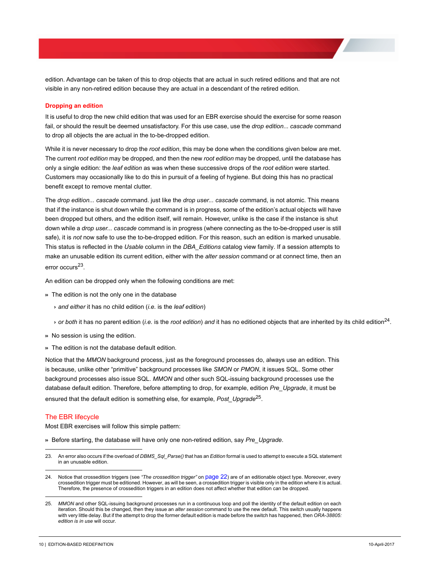edition. Advantage can be taken of this to drop objects that are actual in such retired editions and that are not visible in any non-retired edition because they are actual in a descendant of the retired edition.

#### <span id="page-12-0"></span>**Dropping an edition**

It is useful to drop the new child edition that was used for an EBR exercise should the exercise for some reason fail, or should the result be deemed unsatisfactory. For this use case, use the *drop edition... cascade* command to drop all objects the are actual in the to-be-dropped edition.

While it is never necessary to drop the *root edition*, this may be done when the conditions given below are met. The current *root edition* may be dropped, and then the new *root edition* may be dropped, until the database has only a single edition: the *leaf edition* as was when these successive drops of the *root edition* were started. Customers may occasionally like to do this in pursuit of a feeling of hygiene. But doing this has no practical benefit except to remove mental clutter.

The *drop edition... cascade* command. just like the *drop user... cascade* command, is not atomic. This means that if the instance is shut down while the command is in progress, some of the edition's actual objects will have been dropped but others, and the edition itself, will remain. However, unlike is the case if the instance is shut down while a *drop user... cascade* command is in progress (where connecting as the to-be-dropped user is still safe), it is *not* now safe to use the to-be-dropped edition. For this reason, such an edition is marked unusable. This status is reflected in the *Usable* column in the *DBA\_Editions* catalog view family. If a session attempts to make an unusable edition its current edition, either with the *alter session* command or at connect time, then an error occurs23.

An edition can be dropped only when the following conditions are met:

- >> The edition is not the only one in the database
	- <sup>&</sup>gt; *and either* it has no child edition (*i.e.* is the *leaf edition*)
	- <sup>&</sup>gt; *or both* it has no parent edition (*i.e.* is the *root edition*) *and* it has no editioned objects that are inherited by its child edition24.
- >> No session is using the edition.
- >> The edition is not the database default edition.

Notice that the *MMON* background process, just as the foreground processes do, always use an edition. This is because, unlike other "primitive" background processes like *SMON* or *PMON*, it issues SQL. Some other background processes also issue SQL. *MMON* and other such SQL-issuing background processes use the database default edition. Therefore, before attempting to drop, for example, edition *Pre\_Upgrade*, it must be ensured that the default edition is something else, for example, *Post\_Upgrade*25.

#### <span id="page-12-1"></span>The EBR lifecycle

Most EBR exercises will follow this simple pattern:

- >> Before starting, the database will have only one non-retired edition, say *Pre\_Upgrade*.
- 23. An error also occurs if the overload of *DBMS\_Sql\_Parse()* that has an *Edition* formal is used to attempt to execute a SQL statement in an unusable edition.
- 24. Notice that crossedition triggers (see *["The crossedition trigger"](#page-24-2)* on page 22) are of an editionable object type. Moreover, every crossedition trigger must be editioned. However, as will be seen, a crossedition trigger is visible only in the edition where it is actual. Therefore, the presence of crossedition triggers in an edition does not affect whether that edition can be dropped.

<sup>25.</sup> *MMON* and other SQL-issuing background processes run in a continuous loop and poll the identity of the default edition on each iteration. Should this be changed, then they issue an *alter session* command to use the new default. This switch usually happens with very little delay. But if the attempt to drop the former default edition is made before the switch has happened, then *ORA-38805: edition is in use* will occur.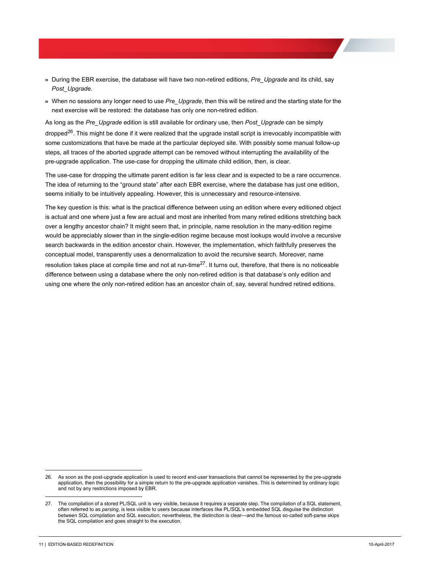- >> During the EBR exercise, the database will have two non-retired editions, *Pre\_Upgrade* and its child, say *Post\_Upgrade*.
- >> When no sessions any longer need to use *Pre\_Upgrade*, then this will be retired and the starting state for the next exercise will be restored: the database has only one non-retired edition.

As long as the *Pre\_Upgrade* edition is still available for ordinary use, then *Post\_Upgrade* can be simply dropped<sup>26</sup>. This might be done if it were realized that the upgrade install script is irrevocably incompatible with some customizations that have be made at the particular deployed site. With possibly some manual follow-up steps, all traces of the aborted upgrade attempt can be removed without interrupting the availability of the pre-upgrade application. The use-case for dropping the ultimate child edition, then, is clear.

The use-case for dropping the ultimate parent edition is far less clear and is expected to be a rare occurrence. The idea of returning to the "ground state" after each EBR exercise, where the database has just one edition, seems initially to be intuitively appealing. However, this is unnecessary and resource-intensive*.*

The key question is this: what is the practical difference between using an edition where every editioned object is actual and one where just a few are actual and most are inherited from many retired editions stretching back over a lengthy ancestor chain? It might seem that, in principle, name resolution in the many-edition regime would be appreciably slower than in the single-edition regime because most lookups would involve a recursive search backwards in the edition ancestor chain. However, the implementation, which faithfully preserves the conceptual model, transparently uses a denormalization to avoid the recursive search. Moreover, name resolution takes place at compile time and not at run-time<sup>27</sup>. It turns out, therefore, that there is no noticeable difference between using a database where the only non-retired edition is that database's only edition and using one where the only non-retired edition has an ancestor chain of, say, several hundred retired editions.

<sup>26.</sup> As soon as the post-upgrade application is used to record end-user transactions that cannot be represented by the pre-upgrade application, then the possibility for a simple return to the pre-upgrade application vanishes. This is determined by ordinary logic and not by any restrictions imposed by EBR.

<sup>27.</sup> The compilation of a stored PL/SQL unit is very visible, because it requires a separate step. The compilation of a SQL statement, often referred to as *parsing*, is less visible to users because interfaces like PL/SQL's embedded SQL disguise the distinction between SQL compilation and SQL execution; nevertheless, the distinction is clear—and the famous so-called soft-parse skips the SQL compilation and goes straight to the execution.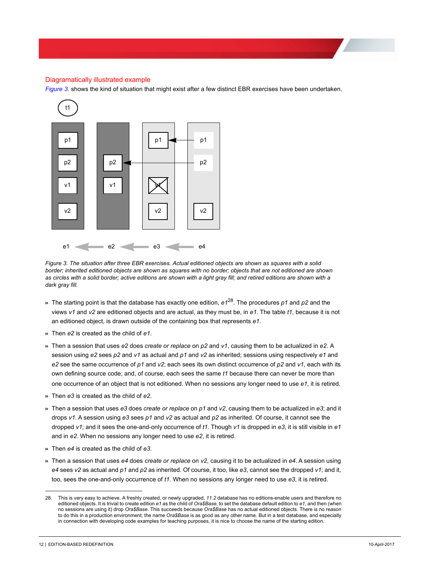### <span id="page-14-0"></span>Diagramatically illustrated example

*[Figure 3.](#page-14-1)* shows the kind of situation that might exist after a few distinct EBR exercises have been undertaken.



<span id="page-14-1"></span>*Figure 3. The situation after three EBR exercises. Actual editioned objects are shown as squares with a solid border; inherited editioned objects are shown as squares with no border; objects that are not editioned are shown*  as circles with a solid border; active editions are shown with a light gray fill; and retired editions are shown with a *dark gray fill.*

- >> The starting point is that the database has exactly one edition, *e1*28. The procedures *p1* and *p2* and the views *v1* and *v2* are editioned objects and are actual, as they must be, in *e1*. The table *t1*, because it is not an editioned object, is drawn outside of the containing box that represents *e1*.
- >> Then *e2* is created as the child of *e1*.
- >> Then a session that uses *e2* does *create or replace* on *p2* and *v1*, causing them to be actualized in *e2*. A session using *e2* sees *p2* and *v1* as actual and *p1* and *v2* as inherited; sessions using respectively *e1* and *e2* see the same occurrence of *p1* and *v2*; each sees its own distinct occurrence of *p2* and *v1*, each with its own defining source code; and, of course, each sees the same *t1* because there can never be more than one occurrence of an object that is not editioned. When no sessions any longer need to use *e1*, it is retired.
- >> Then *e3* is created as the child of *e2*.
- >> Then a session that uses *e3* does *create or replace* on *p1* and *v2*, causing them to be actualized in *e3*; and it drops *v1*. A session using *e3* sees *p1* and *v2* as actual and *p2* as inherited. Of course, it cannot see the dropped *v1*; and it sees the one-and-only occurrence of *t1*. Though *v1* is dropped in *e3*, it is still visible in *e1* and in *e2*. When no sessions any longer need to use *e2*, it is retired.
- >> Then *e4* is created as the child of *e3*.
- >> Then a session that uses *e4* does *create or replace* on *v2*, causing it to be actualized in *e4*. A session using *e4* sees *v2* as actual and *p1* and *p2* as inherited. Of course, it too, like *e3*, cannot see the dropped *v1*; and it, too, sees the one-and-only occurrence of *t1*. When no sessions any longer need to use *e3*, it is retired.

<sup>28.</sup> This is very easy to achieve. A freshly created, or newly upgraded, *11.2* database has no editions-enable users and therefore no editioned objects. It is trivial to create edition *e1* as the child of *Ora\$Base*, to set the database default edition to *e1*, and then (when no sessions are using it) drop *Ora\$Base*. This succeeds because *Ora\$Base* has no actual editioned objects. There is no reason to do this in a production environment; the name *Ora\$Base* is as good as any other name. But in a test database, and especially in connection with developing code examples for teaching purposes, it is nice to choose the name of the starting edition.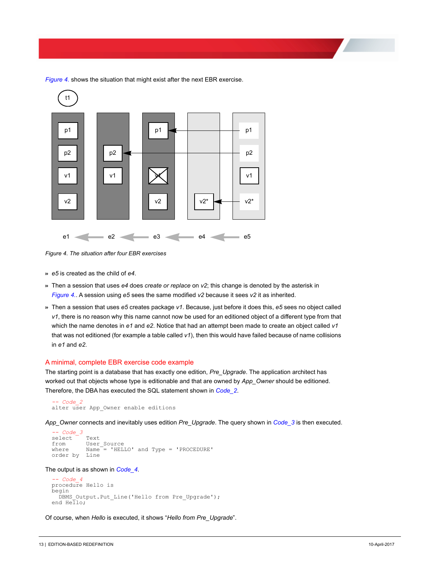

*[Figure 4.](#page-15-1)* shows the situation that might exist after the next EBR exercise.

<span id="page-15-1"></span>*Figure 4. The situation after four EBR exercises*

- >> *e5* is created as the child of *e4*.
- >> Then a session that uses *e4* does *create or replace* on *v2*; this change is denoted by the asterisk in *[Figure 4.](#page-15-1)*. A session using *e5* sees the same modified *v2* because it sees *v2* it as inherited.
- >> Then a session that uses *e5* creates package *v1*. Because, just before it does this, *e5* sees no object called *v1*, there is no reason why this name cannot now be used for an editioned object of a different type from that which the name denotes in *e1* and *e2*. Notice that had an attempt been made to create an object called *v1* that was not editioned (for example a table called *v1*), then this would have failed because of name collisions in *e1* and *e2*.

#### <span id="page-15-0"></span>A minimal, complete EBR exercise code example

The starting point is a database that has exactly one edition, *Pre\_Upgrade*. The application architect has worked out that objects whose type is editionable and that are owned by *App\_Owner* should be editioned. Therefore, the DBA has executed the SQL statement shown in *Code\_2*.

```
-- Code_2<br>alter user App_Owner enable editions
```
*App\_Owner* connects and inevitably uses edition *Pre\_Upgrade*. The query shown in *Code\_3* is then executed.

```
- Code_3<br>elect Text
select<br>from
from User_Source<br>where Name<sup>-</sup>= 'HEL
              Name = 'HELLO' and Type = 'PROCEDURE'
order by Line
```
### The output is as shown in *Code\_4*.

```
-- Code_4 Minimum_Complete_Edition_Based_Redefinition\Demo.sql
procedure Hello is
begin
   DBMS Output.Put Line('Hello from Pre Upgrade');
end Hello;
```
Of course, when *Hello* is executed, it shows "*Hello from Pre\_Upgrade*".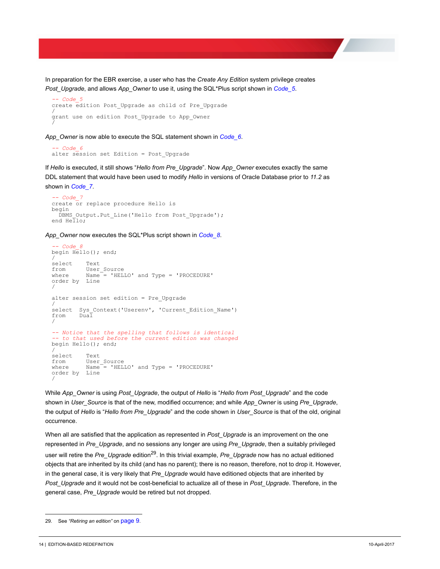In preparation for the EBR exercise, a user who has the *Create Any Edition* system privilege creates *Post Upgrade*, and allows *App Owner* to use it, using the SQL\*Plus script shown in *Code 5*.

```
-- Code_5 Minimum_Complete_Edition_Based_Redefinition\Demo.sql
create edition Post_Upgrade as child of Pre_Upgrade
/
grant use on edition Post_Upgrade to App_Owner
/
```
*App\_Owner* is now able to execute the SQL statement shown in *Code\_6*.

```
-- Code_6<br>alter session set Edition = Post Upgrade
```
If *Hello* is executed, it still shows "*Hello from Pre\_Upgrade*". Now *App\_Owner* executes exactly the same DDL statement that would have been used to modify *Hello* in versions of Oracle Database prior to *11.2* as shown in *Code\_7*.

```
-- Code_7 Minimum_Complete_Edition_Based_Redefinition\Demo.sql
create or replace procedure Hello is
begin
  DBMS Output.Put Line('Hello from Post Upgrade');
end Hello;
```
*App\_Owner* now executes the SQL\*Plus script shown in *Code\_8*.

```
-- Code_8 Minimum_Complete_Edition_Based_Redefinition\Demo.sql
begin Hello(); end;
/
select Text
from User_Source<br>where Name = 'HEL
           Name = 'HELLO' and Type = 'PROCEDURE'
order by Line
/
alter session set edition = Pre_Upgrade
/<br>select   Sys Context('Userenv',  'Current Edition Name')
from Dual
/
-- Notice that the spelling that follows is identical
-- to that used before the current edition was changed
begin Hello(); end;
/
select Text
from User_Source<br>where Name = 'HEL
             Name = 'HELLO' and Type = 'PROCEDURE'
order by Line
/
```
While *App\_Owner* is using *Post\_Upgrade*, the output of *Hello* is "*Hello from Post\_Upgrade*" and the code shown in *User\_Source* is that of the new, modified occurrence; and while *App\_Owner* is using *Pre\_Upgrade*, the output of *Hello* is "*Hello from Pre\_Upgrade*" and the code shown in *User\_Source* is that of the old, original occurrence.

When all are satisfied that the application as represented in *Post\_Upgrade* is an improvement on the one represented in *Pre\_Upgrade*, and no sessions any longer are using *Pre\_Upgrade*, then a suitably privileged user will retire the *Pre\_Upgrade* edition29. In this trivial example, *Pre\_Upgrade* now has no actual editioned objects that are inherited by its child (and has no parent); there is no reason, therefore, not to drop it. However, in the general case, it is very likely that *Pre\_Upgrade* would have editioned objects that are inherited by *Post\_Upgrade* and it would not be cost-beneficial to actualize all of these in *Post\_Upgrade*. Therefore, in the general case, *Pre\_Upgrade* would be retired but not dropped.

<sup>29.</sup> See *["Retiring an edition"](#page-11-0)* on page 9.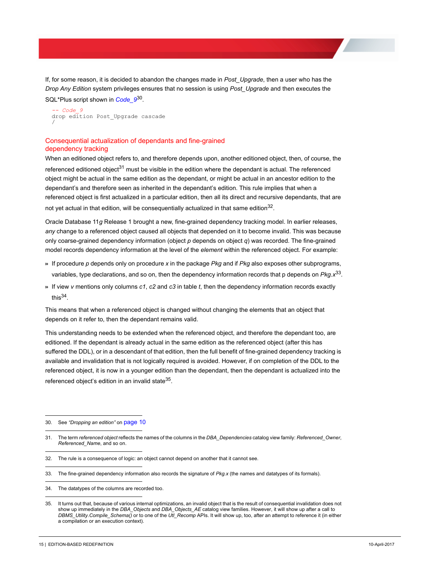If, for some reason, it is decided to abandon the changes made in *Post\_Upgrade*, then a user who has the *Drop Any Edition* system privileges ensures that no session is using *Post\_Upgrade* and then executes the SQL\*Plus script shown in *Code\_9*30.

```
-- Code_9 Minimum_Complete_Edition_Based_Redefinition\Demo.sql
drop edition Post_Upgrade cascade
/
```
### <span id="page-17-0"></span>Consequential actualization of dependants and fine-grained dependency tracking

When an editioned object refers to, and therefore depends upon, another editioned object, then, of course, the referenced editioned object<sup>31</sup> must be visible in the edition where the dependant is actual. The referenced object might be actual in the same edition as the dependant, or might be actual in an ancestor edition to the dependant's and therefore seen as inherited in the dependant's edition. This rule implies that when a referenced object is first actualized in a particular edition, then all its direct and recursive dependants, that are not yet actual in that edition, will be consequentially actualized in that same edition $32$ .

Oracle Database 11*g* Release 1 brought a new, fine-grained dependency tracking model. In earlier releases, *any* change to a referenced object caused all objects that depended on it to become invalid. This was because only coarse-grained dependency information (object *p* depends on object *q*) was recorded. The fine-grained model records dependency information at the level of the *element* within the referenced object. For example:

- >> If procedure *p* depends only on procedure *x* in the package *Pkg* and if *Pkg* also exposes other subprograms, variables, type declarations, and so on, then the dependency information records that p depends on *Pkg.x*33.
- >> If view *v* mentions only columns *c1*, *c2* and *c3* in table *t*, then the dependency information records exactly this $34$ .

This means that when a referenced object is changed without changing the elements that an object that depends on it refer to, then the dependant remains valid.

This understanding needs to be extended when the referenced object, and therefore the dependant too, are editioned. If the dependant is already actual in the same edition as the referenced object (after this has suffered the DDL), or in a descendant of that edition, then the full benefit of fine-grained dependency tracking is available and invalidation that is not logically required is avoided. However, if on completion of the DDL to the referenced object, it is now in a younger edition than the dependant, then the dependant is actualized into the referenced object's edition in an invalid state<sup>35</sup>.

<sup>30.</sup> See *["Dropping an edition"](#page-12-0)* on page 10

<sup>31.</sup> The term *referenced object* reflects the names of the columns in the *DBA\_Dependencies* catalog view family: *Referenced\_Owner*, *Referenced\_Name*, and so on.

<sup>32.</sup> The rule is a consequence of logic: an object cannot depend on another that it cannot see.

<sup>33.</sup> The fine-grained dependency information also records the signature of *Pkg.x* (the names and datatypes of its formals).

<sup>34.</sup> The datatypes of the columns are recorded too.

<sup>35.</sup> It turns out that, because of various internal optimizations, an invalid object that is the result of consequential invalidation does not show up immediately in the *DBA\_Objects* and *DBA\_Objects\_AE* catalog view families. However, it will show up after a call to *DBMS\_Utility.Compile\_Schema()* or to one of the *Utl\_Recomp* APIs. It will show up, too, after an attempt to reference it (in either a compilation or an execution context).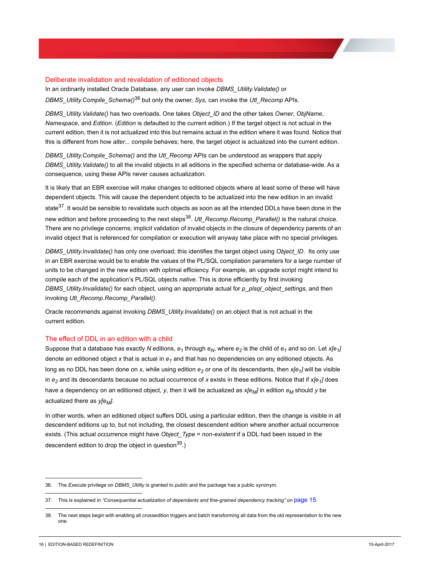#### <span id="page-18-0"></span>Deliberate invalidation and revalidation of editioned objects

In an ordinarily installed Oracle Database, any user can invoke *DBMS\_Utility.Validate()* or *DBMS\_Utility.Compile\_Schema()*36 but only the owner, *Sys*, can invoke the *Utl\_Recomp* APIs.

*DBMS\_Utility.Validate()* has two overloads. One takes *Object\_ID* and the other takes *Owner*, *ObjName*, *Namespace*, and *Edition*. (*Edition* is defaulted to the current edition.) If the target object is not actual in the current edition, then it is not actualized into this but remains actual in the edition where it was found. Notice that this is different from how *alter... compile* behaves; here, the target object is actualized into the current edition.

*DBMS\_Utility.Compile\_Schema()* and the *Utl\_Recomp* APIs can be understood as wrappers that apply *DBMS\_Utility.Validate()* to all the invalid objects in all editions in the specified schema or database-wide. As a consequence, using these APIs never causes actualization.

It is likely that an EBR exercise will make changes to editioned objects where at least some of these will have dependent objects. This will cause the dependent objects to be actualized into the new edition in an invalid state<sup>37</sup>. It would be sensible to revalidate such objects as soon as all the intended DDLs have been done in the new edition and before proceeding to the next steps<sup>38</sup>. *Utl\_Recomp.Recomp\_Parallel()* is the natural choice. There are no privilege concerns; implicit validation of invalid objects in the closure of dependency parents of an invalid object that is referenced for compilation or execution will anyway take place with no special privileges.

*DBMS\_Utility.Invalidate()* has only one overload; this identifies the target object using *Object\_ID*. Its only use in an EBR exercise would be to enable the values of the PL/SQL compilation parameters for a large number of units to be changed in the new edition with optimal efficiency. For example, an upgrade script might intend to compile each of the application's PL/SQL objects *native*. This is done efficiently by first invoking *DBMS\_Utility.Invalidate()* for each object, using an appropriate actual for *p\_plsql\_object\_settings*, and then invoking *Utl\_Recomp.Recomp\_Parallel()*.

Oracle recommends against invoking *DBMS\_Utility.Invalidate()* on an object that is not actual in the current edition.

#### <span id="page-18-1"></span>The effect of DDL in an edition with a child

Suppose that a database has exactly *N* editions,  $e_1$  through  $e_N$ , where  $e_2$  is the child of  $e_1$  and so on. Let  $x[e_1]$ denote an editioned object x that is actual in  $e_1$  and that has no dependencies on any editioned objects. As long as no DDL has been done on x, while using edition  $e_2$  or one of its descendants, then  $x[e_1]$  will be visible in  $e_2$  and its descendants because no actual occurrence of *x* exists in these editions. Notice that if *x[e<sub>1</sub>]* does have a dependency on an editioned object, y, then it will be actualized as  $x[e_M]$  in edition  $e_M$  should y be actualized there as *y[e<sub>M</sub>]*.

In other words, when an editioned object suffers DDL using a particular edition, then the change is visible in all descendent editions up to, but not including, the closest descendent edition where another actual occurrence exists. (This actual occurrence might have *Object\_Type* = *non-existent* if a DDL had been issued in the descendent edition to drop the object in question  $39.$ )

<sup>36.</sup> The *Execute* privilege on *DBMS\_Utility* is granted to *public* and the package has a public synonym.

<sup>37.</sup> This is explained in *["Consequential actualization of dependants and fine-grained dependency tracking"](#page-17-0)* on page 15.

<sup>38.</sup> The next steps begin with enabling all crossedition triggers and batch transforming all data from the old representation to the new one.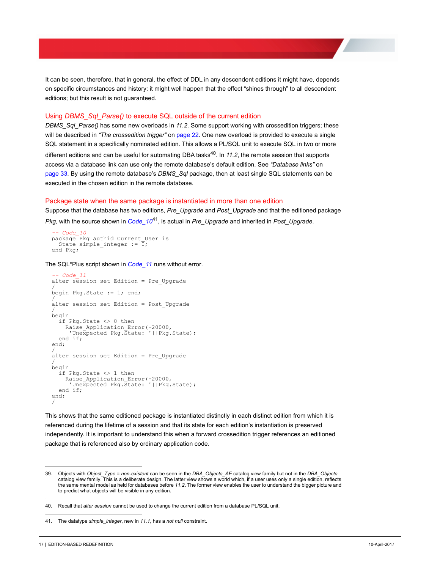It can be seen, therefore, that in general, the effect of DDL in any descendent editions it might have, depends on specific circumstances and history: it might well happen that the effect "shines through" to all descendent editions; but this result is not guaranteed.

#### <span id="page-19-0"></span>Using *DBMS\_Sql\_Parse()* to execute SQL outside of the current edition

*DBMS\_Sql\_Parse()* has some new overloads in *11.2*. Some support working with crossedition triggers; these will be described in ["The crossedition trigger"](#page-24-2) on page 22. One new overload is provided to execute a single SQL statement in a specifically nominated edition. This allows a PL/SQL unit to execute SQL in two or more different editions and can be useful for automating DBA tasks<sup>40</sup>. In 11.2, the remote session that supports access via a database link can use only the remote database's default edition. See *["Database links"](#page-35-1)* on [page 33.](#page-35-1) By using the remote database's *DBMS\_Sql* package, then at least single SQL statements can be executed in the chosen edition in the remote database.

#### <span id="page-19-1"></span>Package state when the same package is instantiated in more than one edition

Suppose that the database has two editions, *Pre\_Upgrade* and *Post\_Upgrade* and that the editioned package *Pkg,* with the source shown in *Code\_10*41, is actual in *Pre\_Upgrade* and inherited in *Post\_Upgrade*.

```
-- Code_10 State_When_Package_Instantiated_In_Two_Editions\Demo.sql
package Pkg authid Current_User is
   State simple integer := \overline{0};
end Pkg;
```
The SQL\*Plus script shown in *Code\_11* runs without error.

```
-- Code_11<br>alter session set Edition = Pre Upgrade
/
begin Pkg.State := 1; end;
/
alter session set Edition = Post_Upgrade
/
begin
   if Pkg.State <> 0 then
 Raise_Application_Error(-20000,
 'Unexpected Pkg.State: '||Pkg.State);
   end if;
end;
/
alter session set Edition = Pre_Upgrade
/
begin
   if Pkg.State <> 1 then
   Raise Application Error(-20000,
      'Unexpected Pkg.State: '||Pkg.State);
   end if;
end;
/
```
This shows that the same editioned package is instantiated distinctly in each distinct edition from which it is referenced during the lifetime of a session and that its state for each edition's instantiation is preserved independently. It is important to understand this when a forward crossedition trigger references an editioned package that is referenced also by ordinary application code.

<sup>39.</sup> Objects with *Object\_Type* = *non-existent* can be seen in the *DBA\_Objects\_AE* catalog view family but not in the *DBA\_Objects* catalog view family. This is a deliberate design. The latter view shows a world which, if a user uses only a single edition, reflects the same mental model as held for databases before *11.2*. The former view enables the user to understand the bigger picture and to predict what objects will be visible in any edition.

<sup>40.</sup> Recall that *alter session* cannot be used to change the current edition from a database PL/SQL unit.

<sup>41.</sup> The datatype *simple\_integer*, new in *11.1*, has a *not null* constraint.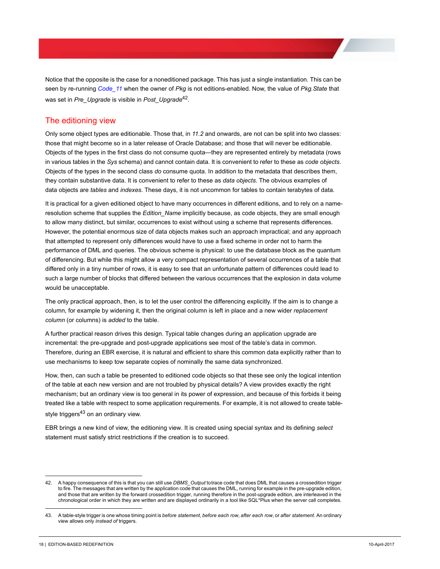Notice that the opposite is the case for a noneditioned package. This has just a single instantiation. This can be seen by re-running *Code\_11* when the owner of *Pkg* is not editions-enabled. Now, the value of *Pkg.State* that was set in *Pre\_Upgrade* is visible in *Post\_Upgrade*42.

# <span id="page-20-0"></span>The editioning view

Only some object types are editionable. Those that, in *11.2* and onwards, are not can be split into two classes: those that might become so in a later release of Oracle Database; and those that will never be editionable. Objects of the types in the first class do not consume quota—they are represented entirely by metadata (rows in various tables in the *Sys* schema) and cannot contain data. It is convenient to refer to these as *code objects*. Objects of the types in the second class *do* consume quota. In addition to the metadata that describes them, they contain substantive data. It is convenient to refer to these as *data objects*. The obvious examples of data objects are *tables* and *indexes*. These days, it is not uncommon for tables to contain terabytes of data.

It is practical for a given editioned object to have many occurrences in different editions, and to rely on a nameresolution scheme that supplies the *Edition\_Name* implicitly because, as code objects, they are small enough to allow many distinct, but similar, occurrences to exist without using a scheme that represents differences. However, the potential enormous size of data objects makes such an approach impractical; and any approach that attempted to represent only differences would have to use a fixed scheme in order not to harm the performance of DML and queries. The obvious scheme is physical: to use the database block as the quantum of differencing. But while this might allow a very compact representation of several occurrences of a table that differed only in a tiny number of rows, it is easy to see that an unfortunate pattern of differences could lead to such a large number of blocks that differed between the various occurrences that the explosion in data volume would be unacceptable.

The only practical approach, then, is to let the user control the differencing explicitly. If the aim is to change a column, for example by widening it, then the original column is left in place and a new wider *replacement column* (or columns) is *added* to the table.

A further practical reason drives this design. Typical table changes during an application upgrade are incremental: the pre-upgrade and post-upgrade applications see most of the table's data in common. Therefore, during an EBR exercise, it is natural and efficient to share this common data explicitly rather than to use mechanisms to keep tow separate copies of nominally the same data synchronized.

How, then, can such a table be presented to editioned code objects so that these see only the logical intention of the table at each new version and are not troubled by physical details? A view provides exactly the right mechanism; but an ordinary view is too general in its power of expression, and because of this forbids it being treated like a table with respect to some application requirements. For example, it is not allowed to create tablestyle triggers $43$  on an ordinary view.

EBR brings a new kind of view, the editioning view. It is created using special syntax and its defining *select* statement must satisfy strict restrictions if the creation is to succeed.

<sup>42.</sup> A happy consequence of this is that you can still use *DBMS\_Output* totrace code that does DML that causes a crossedition trigger to fire. The messages that are written by the application code that causes the DML, running for example in the pre-upgrade edition, and those that are written by the forward crossedition trigger, running therefore in the post-upgrade edition, are interleaved in the chronological order in which they are written and are displayed ordinarily in a tool like SQL\*Plus when the server call completes.

<sup>43.</sup> A table-style trigger is one whose timing point is *before statement*, *before each row*, *after each row*, or *after statement*. An ordinary view allows only *instead of* triggers.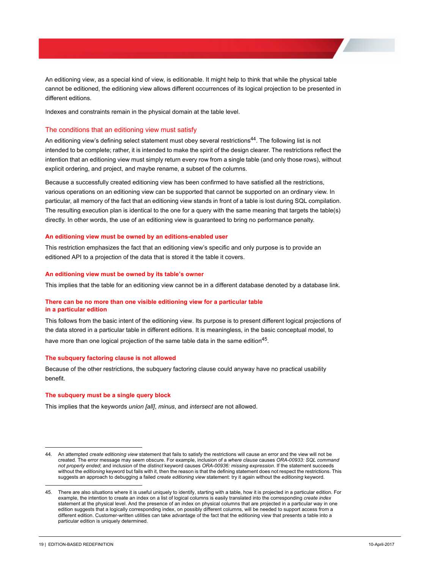An editioning view, as a special kind of view, is editionable. It might help to think that while the physical table cannot be editioned, the editioning view allows different occurrences of its logical projection to be presented in different editions.

Indexes and constraints remain in the physical domain at the table level.

#### <span id="page-21-0"></span>The conditions that an editioning view must satisfy

An editioning view's defining select statement must obey several restrictions<sup>44</sup>. The following list is not intended to be complete; rather, it is intended to make the spirit of the design clearer. The restrictions reflect the intention that an editioning view must simply return every row from a single table (and only those rows), without explicit ordering, and project, and maybe rename, a subset of the columns.

Because a successfully created editioning view has been confirmed to have satisfied all the restrictions, various operations on an editioning view can be supported that cannot be supported on an ordinary view. In particular, all memory of the fact that an editioning view stands in front of a table is lost during SQL compilation. The resulting execution plan is identical to the one for a query with the same meaning that targets the table(s) directly. In other words, the use of an editioning view is guaranteed to bring no performance penalty.

#### <span id="page-21-1"></span>**An editioning view must be owned by an editions-enabled user**

This restriction emphasizes the fact that an editioning view's specific and only purpose is to provide an editioned API to a projection of the data that is stored it the table it covers.

#### <span id="page-21-2"></span>**An editioning view must be owned by its table's owner**

This implies that the table for an editioning view cannot be in a different database denoted by a database link.

#### <span id="page-21-3"></span>**There can be no more than one visible editioning view for a particular table in a particular edition**

This follows from the basic intent of the editioning view. Its purpose is to present different logical projections of the data stored in a particular table in different editions. It is meaningless, in the basic conceptual model, to have more than one logical projection of the same table data in the same edition<sup>45</sup>.

#### <span id="page-21-4"></span>**The subquery factoring clause is not allowed**

Because of the other restrictions, the subquery factoring clause could anyway have no practical usability benefit.

#### <span id="page-21-5"></span>**The subquery must be a single query block**

This implies that the keywords *union [all]*, *minus*, and *intersect* are not allowed.

<sup>44.</sup> An attempted *create editioning view* statement that fails to satisfy the restrictions will cause an error and the view will not be created. The error message may seem obscure. For example, inclusion of a *where clause* causes *ORA-00933: SQL command not properly ended*; and inclusion of the *distinct* keyword causes *ORA-00936: missing expression*. If the statement succeeds without the *editioning* keyword but fails with it, then the reason is that the defining statement does not respect the restrictions. This suggests an approach to debugging a failed *create editioning view* statement: try it again without the *editioning* keyword.

<sup>45.</sup> There are also situations where it is useful uniquely to identify, starting with a table, how it is projected in a particular edition. For example, the intention to create an index on a list of logical columns is easily translated into the corresponding *create index* statement at the physical level. And the presence of an index on physical columns that are projected in a particular way in one edition suggests that a logically corresponding index, on possibly different columns, will be needed to support access from a different edition. Customer-written utilities can take advantage of the fact that the editioning view that presents a table into a particular edition is uniquely determined.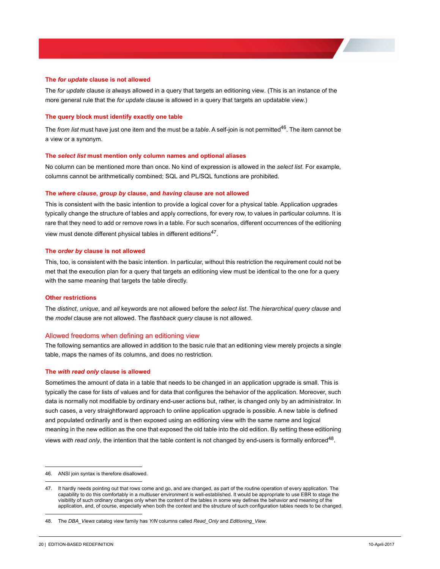#### <span id="page-22-0"></span>**The** *for update* **clause is not allowed**

The *for update* clause *is* always allowed in a query that targets an editioning view. (This is an instance of the more general rule that the *for update* clause is allowed in a query that targets an updatable view.)

#### <span id="page-22-1"></span>**The query block must identify exactly one table**

The *from list* must have just one item and the must be a *table*. A self-join is not permitted<sup>46</sup>. The item cannot be a view or a synonym.

#### <span id="page-22-2"></span>**The** *select list* **must mention only column names and optional aliases**

No column can be mentioned more than once. No kind of expression is allowed in the *select list*. For example, columns cannot be arithmetically combined; SQL and PL/SQL functions are prohibited.

#### <span id="page-22-3"></span>**The** *where clause***,** *group by* **clause, and** *having* **clause are not allowed**

This is consistent with the basic intention to provide a logical cover for a physical table. Application upgrades typically change the structure of tables and apply corrections, for every row, to values in particular columns. It is rare that they need to add or remove rows in a table. For such scenarios, different occurrences of the editioning view must denote different physical tables in different editions<sup>47</sup>.

#### <span id="page-22-4"></span>**The** *order by* **clause is not allowed**

This, too, is consistent with the basic intention. In particular, without this restriction the requirement could not be met that the execution plan for a query that targets an editioning view must be identical to the one for a query with the same meaning that targets the table directly.

#### <span id="page-22-5"></span>**Other restrictions**

The *distinct*, *unique*, and *all* keywords are not allowed before the *select list*. The *hierarchical query clause* and the *model* clause are not allowed. The *flashback query* clause is not allowed.

#### <span id="page-22-6"></span>Allowed freedoms when defining an editioning view

The following semantics are allowed in addition to the basic rule that an editioning view merely projects a single table, maps the names of its columns, and does no restriction.

#### <span id="page-22-7"></span>**The** *with read only* **clause is allowed**

Sometimes the amount of data in a table that needs to be changed in an application upgrade is small. This is typically the case for lists of values and for data that configures the behavior of the application. Moreover, such data is normally not modifiable by ordinary end-user actions but, rather, is changed only by an administrator. In such cases, a very straightforward approach to online application upgrade is possible. A new table is defined and populated ordinarily and is then exposed using an editioning view with the same name and logical meaning in the new edition as the one that exposed the old table into the old edition. By setting these editioning views *with read only*, the intention that the table content is not changed by end-users is formally enforced48.

<sup>46.</sup> ANSI join syntax is therefore disallowed.

<sup>47.</sup> It hardly needs pointing out that rows come and go, and are changed, as part of the routine operation of every application. The capability to do this comfortably in a multiuser environment is well-established. It would be appropriate to use EBR to stage the visibility of such ordinary changes only when the content of the tables in some way defines the behavior and meaning of the application, and, of course, especially when both the context and the structure of such configuration tables needs to be changed.

<sup>48.</sup> The *DBA\_Views* catalog view family has *Y/N* columns called *Read\_Only* and *Editioning\_View*.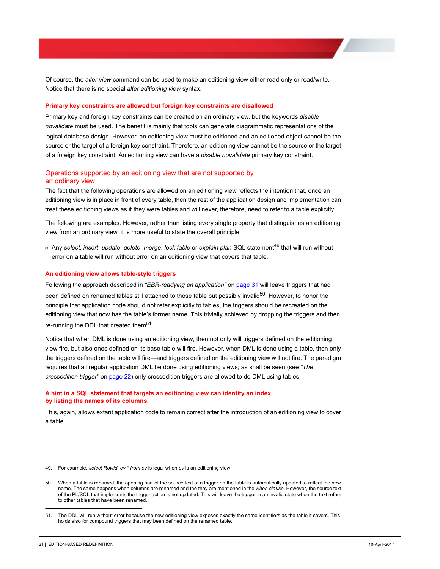Of course, the *alter view* command can be used to make an editioning view either read-only or read/write. Notice that there is no special *alter editioning view* syntax.

#### <span id="page-23-0"></span>**Primary key constraints are allowed but foreign key constraints are disallowed**

Primary key and foreign key constraints can be created on an ordinary view, but the keywords *disable novalidate* must be used. The benefit is mainly that tools can generate diagrammatic representations of the logical database design. However, an editioning view must be editioned and an editioned object cannot be the source or the target of a foreign key constraint. Therefore, an editioning view cannot be the source or the target of a foreign key constraint. An editioning view can have a *disable novalidate* primary key constraint.

### <span id="page-23-1"></span>Operations supported by an editioning view that are not supported by an ordinary view

The fact that the following operations are allowed on an editioning view reflects the intention that, once an editioning view is in place in front of every table, then the rest of the application design and implementation can treat these editioning views as if they were tables and will never, therefore, need to refer to a table explicitly.

The following are examples. However, rather than listing every single property that distinguishes an editioning view from an ordinary view, it is more useful to state the overall principle:

>> Any *select*, *insert*, *update*, *delete*, *merge*, *lock table* or *explain plan* SQL statement49 that will run without error on a table will run without error on an editioning view that covers that table.

#### <span id="page-23-2"></span>**An editioning view allows table-style triggers**

Following the approach described in *["EBR-readying an application"](#page-33-0)* on page 31 will leave triggers that had been defined on renamed tables still attached to those table but possibly invalid<sup>50</sup>. However, to honor the principle that application code should not refer explicitly to tables, the triggers should be recreated on the editioning view that now has the table's former name. This trivially achieved by dropping the triggers and then re-running the DDL that created them<sup>51</sup>.

Notice that when DML is done using an editioning view, then not only will triggers defined on the editioning view fire, but also ones defined on its base table will fire. However, when DML is done using a table, then only the triggers defined on the table will fire—and triggers defined on the editioning view will not fire. The paradigm requires that all regular application DML be done using editioning views; as shall be seen (see *["The](#page-24-2)  [crossedition trigger"](#page-24-2)* on page 22) only crossedition triggers are allowed to do DML using tables.

#### <span id="page-23-3"></span>**A hint in a SQL statement that targets an editioning view can identify an index by listing the names of its columns.**

This, again, allows extant application code to remain correct after the introduction of an editioning view to cover a table.

<sup>49.</sup> For example, *select Rowid, ev.\* from ev* is legal when *ev* is an editioning view.

<sup>50.</sup> When a table is renamed, the opening part of the source text of a trigger on the table is automatically updated to reflect the new name. The same happens when columns are renamed and the they are mentioned in the *when clause*. However, the source text of the PL/SQL that implements the trigger action is not updated. This will leave the trigger in an invalid state when the text refers to other tables that have been renamed.

<sup>51.</sup> The DDL will run without error because the new editioning view exposes exactly the same identifiers as the table it covers. This holds also for compound triggers that may been defined on the renamed table.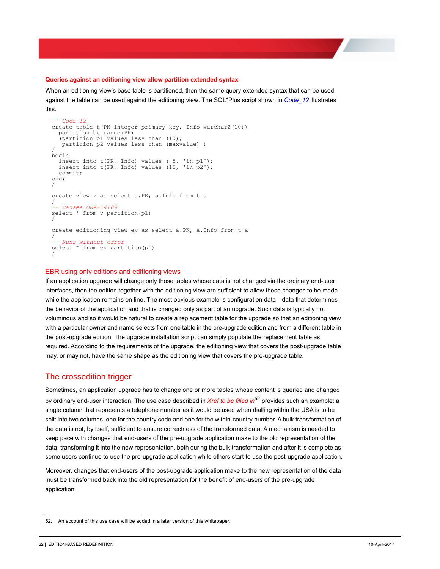#### <span id="page-24-0"></span>**Queries against an editioning view allow partition extended syntax**

When an editioning view's base table is partitioned, then the same query extended syntax that can be used against the table can be used against the editioning view. The SQL\*Plus script shown in *Code\_12* illustrates this.

```
-- Code_12<br>create table t(PK integer primary key, Info varchar2(10))
   partition by range(PK)
   (partition p1 values less than (10),
    partition p2 values less than (maxvalue) )
/
begin
 insert into t(PK, Info) values ( 5, 'in p1');
 insert into t(PK, Info) values (15, 'in p2');
   commit;
end;
/
create view v as select a.PK, a.Info from t a
/
-- Causes ORA-14109
select * from v partition(p1)
/
create editioning view ev as select a.PK, a.Info from t a
/
-- Runs without error
select * from ev partition(p1)
/
```
#### <span id="page-24-1"></span>EBR using only editions and editioning views

If an application upgrade will change only those tables whose data is not changed via the ordinary end-user interfaces, then the edition together with the editioning view are sufficient to allow these changes to be made while the application remains on line. The most obvious example is configuration data—data that determines the behavior of the application and that is changed only as part of an upgrade. Such data is typically not voluminous and so it would be natural to create a replacement table for the upgrade so that an editioning view with a particular owner and name selects from one table in the pre-upgrade edition and from a different table in the post-upgrade edition. The upgrade installation script can simply populate the replacement table as required. According to the requirements of the upgrade, the editioning view that covers the post-upgrade table may, or may not, have the same shape as the editioning view that covers the pre-upgrade table.

## <span id="page-24-2"></span>The crossedition trigger

Sometimes, an application upgrade has to change one or more tables whose content is queried and changed by ordinary end-user interaction. The use case described in *Xref to be filled in*52 provides such an example: a single column that represents a telephone number as it would be used when dialling within the USA is to be split into two columns, one for the country code and one for the within-country number. A bulk transformation of the data is not, by itself, sufficient to ensure correctness of the transformed data. A mechanism is needed to keep pace with changes that end-users of the pre-upgrade application make to the old representation of the data, transforming it into the new representation, both during the bulk transformation and after it is complete as some users continue to use the pre-upgrade application while others start to use the post-upgrade application.

Moreover, changes that end-users of the post-upgrade application make to the new representation of the data must be transformed back into the old representation for the benefit of end-users of the pre-upgrade application.

<sup>52.</sup> An account of this use case will be added in a later version of this whitepaper.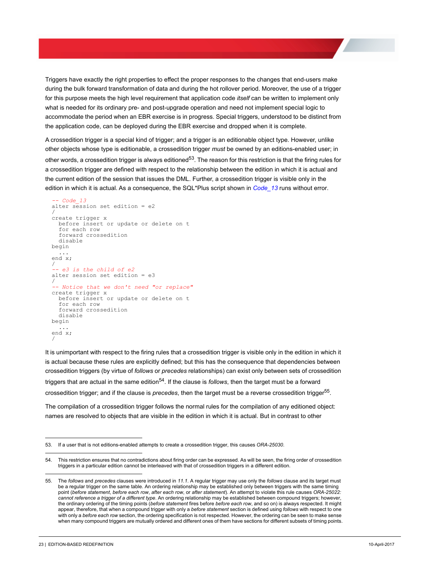Triggers have exactly the right properties to effect the proper responses to the changes that end-users make during the bulk forward transformation of data and during the hot rollover period. Moreover, the use of a trigger for this purpose meets the high level requirement that application code *itself* can be written to implement only what is needed for its ordinary pre- and post-upgrade operation and need not implement special logic to accommodate the period when an EBR exercise is in progress. Special triggers, understood to be distinct from the application code, can be deployed during the EBR exercise and dropped when it is complete.

A crossedition trigger is a special kind of trigger; and a trigger is an editionable object type. However, unlike other objects whose type is editionable, a crossedition trigger *must* be owned by an editions-enabled user; in other words, a crossedition trigger is always editioned<sup>53</sup>. The reason for this restriction is that the firing rules for a crossedition trigger are defined with respect to the relationship between the edition in which it is actual and the current edition of the session that issues the DML. Further, a crossedition trigger is visible only in the edition in which it is actual. As a consequence, the SQL\*Plus script shown in *Code\_13* runs without error.

```
-- Code_13 Crossedition_Trigger_Visibilty\Demo.sql
alter session set edition = e2
/
create trigger x
   before insert or update or delete on t
   for each row
   forward crossedition
   disable
begin
 ...
end x;
/
-- e3 is the child of e2
alter session set edition = e3
/
-- Notice that we don't need "or replace"
create trigger x
   before insert or update or delete on t
   for each row
   forward crossedition
   disable
begin
 ...
end x;
/
```
It is unimportant with respect to the firing rules that a crossedition trigger is visible only in the edition in which it is actual because these rules are explicitly defined; but this has the consequence that dependencies between crossedition triggers (by virtue of *follows* or *precedes* relationships) can exist only between sets of crossedition triggers that are actual in the same edition54. If the clause is *follows*, then the target must be a forward crossedition trigger; and if the clause is *precedes*, then the target must be a reverse crossedition trigger<sup>55</sup>.

The compilation of a crossedition trigger follows the normal rules for the compilation of any editioned object: names are resolved to objects that are visible in the edition in which it is actual. But in contrast to other

<sup>53.</sup> If a user that is not editions-enabled attempts to create a crossedition trigger, this causes *ORA-25030*.

<sup>54.</sup> This restriction ensures that no contradictions about firing order can be expressed. As will be seen, the firing order of crossedition triggers in a particular edition cannot be interleaved with that of crossedition triggers in a different edition.

<sup>55.</sup> The *follows* and *precedes* clauses were introduced in *11.1*. A regular trigger may use only the *follows* clause and its target must be a regular trigger on the same table. An ordering relationship may be established only between triggers with the same timing point (*before statement*, *before each row*, *after each row*, or *after statement*). An attempt to violate this rule causes *ORA-25022: cannot reference a trigger of a different type*. An ordering relationship may be established between compound triggers; however, the ordinary ordering of the timing points (*before statement* fires before *before each row*, and so on) is always respected. It might appear, therefore, that when a compound trigger with only a *before statement* section is defined using *follows* with respect to one with only a *before each row* section, the ordering specification is not respected. However, the ordering can be seen to make sense when many compound triggers are mutually ordered and different ones of them have sections for different subsets of timing points.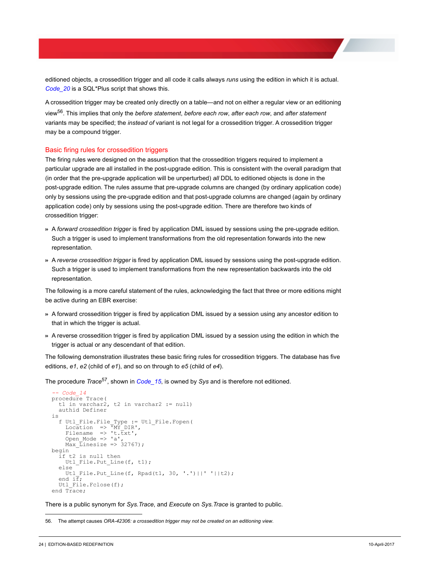editioned objects, a crossedition trigger and all code it calls always *runs* using the edition in which it is actual. *Code\_20* is a SQL\*Plus script that shows this.

A crossedition trigger may be created only directly on a table—and not on either a regular view or an editioning view56. This implies that only the *before statement*, *before each row*, *after each row*, and *after statement* variants may be specified; the *instead of* variant is not legal for a crossedition trigger. A crossedition trigger may be a compound trigger.

#### <span id="page-26-0"></span>Basic firing rules for crossedition triggers

The firing rules were designed on the assumption that the crossedition triggers required to implement a particular upgrade are all installed in the post-upgrade edition. This is consistent with the overall paradigm that (in order that the pre-upgrade application will be unperturbed) *all* DDL to editioned objects is done in the post-upgrade edition. The rules assume that pre-upgrade columns are changed (by ordinary application code) only by sessions using the pre-upgrade edition and that post-upgrade columns are changed (again by ordinary application code) only by sessions using the post-upgrade edition. There are therefore two kinds of crossedition trigger:

- >> A *forward crossedition trigger* is fired by application DML issued by sessions using the pre-upgrade edition. Such a trigger is used to implement transformations from the old representation forwards into the new representation.
- >> A *reverse crossedition trigger* is fired by application DML issued by sessions using the post-upgrade edition. Such a trigger is used to implement transformations from the new representation backwards into the old representation.

The following is a more careful statement of the rules, acknowledging the fact that three or more editions might be active during an EBR exercise:

- >> A forward crossedition trigger is fired by application DML issued by a session using any ancestor edition to that in which the trigger is actual.
- >> A reverse crossedition trigger is fired by application DML issued by a session using the edition in which the trigger is actual or any descendant of that edition.

The following demonstration illustrates these basic firing rules for crossedition triggers. The database has five editions, *e1*, *e2* (child of *e1*), and so on through to *e5* (child of *e4*).

The procedure *Trace*57, shown in *Code\_15*, is owned by *Sys* and is therefore not editioned.

```
-- Code_14 Crossedition_Trigger_Runs_Where_Its_Actual\Demo.sql
procedure Trace(
  t1 in varchar2, t2 in varchar2 := null)
   authid Definer
is
 f Utl_File.File_Type := Utl_File.Fopen(
 Location => 'MY_DIR',
Filename \Rightarrow 't.txt',
Open_Mode => 'a',<br>Max Linesize => 32767);
begin
if t2 is null then<br>Utl File.Put Line(f, t1);
   else
    Utl File.Put Line(f, Rpad(t1, 30, '.')||' '||t2);
  end i\overline{f};
  Utl File.Fclose(f);
end Trace;
```
There is a public synonym for *Sys.Trace*, and *Execute* on *Sys.Trace* is granted to public.

<sup>56.</sup> The attempt causes *ORA-42306: a crossedition trigger may not be created on an editioning view*.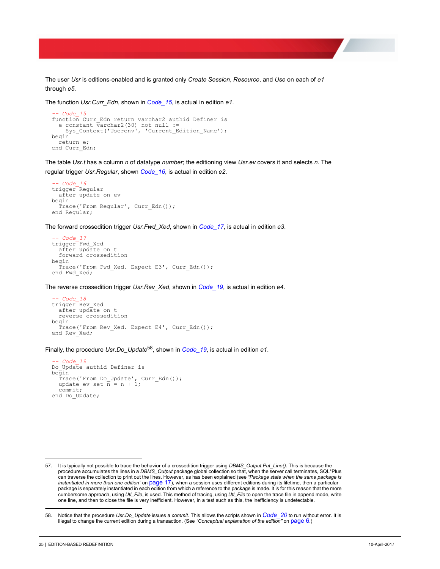The user *Usr* is editions-enabled and is granted only *Create Session*, *Resource*, and *Use* on each of *e1* through *e5*.

```
The function Usr.Curr_Edn, shown in Code_15, is actual in edition e1.
```

```
-- Code_15 Crossedition_Trigger_Runs_Where_Its_Actual\Demo.sql
function Curr Edn return varchar2 authid Definer is
  e constant \bar{v}archar2(30) not null :=
     Sys Context('Userenv', 'Current Edition Name');
begin
   return e;
end Curr_Edn;
```
The table *Usr.t* has a column *n* of datatype *number*; the editioning view *Usr.ev* covers it and selects *n*. The regular trigger *Usr.Regular*, shown *Code\_16*, is actual in edition *e2*.

```
-- Code_16 Crossedition_Trigger_Runs_Where_Its_Actual\Demo.sql
trigger Regular
   after update on ev
begin
   Trace('From Regular', Curr_Edn());
end Regular;
```
The forward crossedition trigger *Usr.Fwd\_Xed*, shown in *Code\_17*, is actual in edition *e3*.

```
-- Code_17 Crossedition_Trigger_Runs_Where_Its_Actual\Demo.sql
trigger Fwd_Xed
   after update on t
   forward crossedition
begin
   Trace('From Fwd Xed. Expect E3', Curr Edn());
end Fwd_Xed;
```
The reverse crossedition trigger *Usr.Rev\_Xed*, shown in *Code\_19*, is actual in edition *e4*.

```
-- Code_18 Crossedition_Trigger_Runs_Where_Its_Actual\Demo.sql
trigger Rev Xed
   after update on t
    reverse crossedition
begin
    Trace('From Rev_Xed. Expect E4', Curr_Edn());
end Rev_Xed;
```
Finally, the procedure *Usr.Do\_Update*58, shown in *Code\_19*, is actual in edition *e1*.

```
-- Code_19 Crossedition_Trigger_Runs_Where_Its_Actual\Demo.sql
Do Update authid Definer is
begin
Trace('From Do_Update', Curr_Edn());<br>update ev set \overline{n} = n + 1;
    commit;
end Do Update;
```
<sup>57.</sup> It is typically not possible to trace the behavior of a crossedition trigger using *DBMS\_Output.Put\_Line()*. This is because the procedure accumulates the lines in a *DBMS\_Output* package global collection so that, when the server call terminates, SQL\*Plus can traverse the collection to print out the lines. However, as has been explained (see *["Package state when the same package is](#page-19-1)  [instantiated in more than one edition"](#page-19-1)* on page 17), when a session uses different editions during its lifetime, then a particular package is separately instantiated in each edition from which a reference to the package is made. It is for this reason that the more cumbersome approach, using *Utl\_File*, is used. This method of tracing, using *Utl\_File* to open the trace file in append mode, write one line, and then to close the file is very inefficient. However, in a test such as this, the inefficiency is undetectable.

<sup>58.</sup> Notice that the procedure *Usr.Do\_Update* issues a *commit*. This allows the scripts shown in *Code\_20* to run without error. It is illegal to change the current edition during a transaction. (See *["Conceptual explanation of the edition"](#page-8-0)* on page 6.)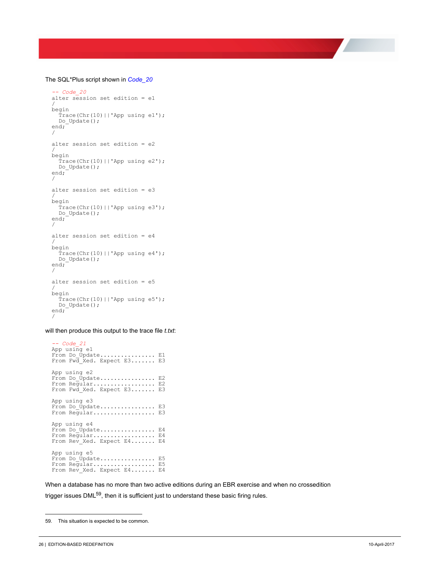#### The SQL\*Plus script shown in *Code\_20*

```
-- Code_20 Crossedition_Trigger_Runs_Where_Its_Actual\Demo.sql
alter session set edition = e1/
begin
   Trace(Chr(10)||'App using e1');
  Do Update();
end;
/
alter session set edition = e2
/
begin
  Trace(Chr(10) || 'App using e2');Do Update();
end;
/
alter session set edition = e3
/
begin
  Trace(Chr(10) ||'App using e3'); Do_Update();
end;
/
alter session set edition = e4
/
begin
  Trace(Chr(10)||'App using e4');
   Do_Update();
end;
/
alter session set edition = e5
/
begin
   Trace(Chr(10)||'App using e5');
  Do Update();
end;
/
```
will then produce this output to the trace file *t.txt*:

```
-- Code_21 Crossedition_Trigger_Runs_Where_Its_Actual\Demo.sql
App using e1<br>From Do Update................ E1
From Fwd_Xed. Expect E3....... E3
App using e2
From Do_Update................ E2
From Regular................. E2<br>From Fwd Xed. Expect E3....... E3
App using e3
From Do_Update................ E3
From Regular................. E3
App using e4
From Do_Update............... E4
From Regular................. E4<br>From Rev Xed. Expect E4....... E4
App using e5
From Do_Update................ E5
From Regular.................. E5
From Rev Xed. Expect E4....... E4
```
When a database has no more than two active editions during an EBR exercise and when no crossedition trigger issues DML<sup>59</sup>, then it is sufficient just to understand these basic firing rules.

<sup>59.</sup> This situation is expected to be common.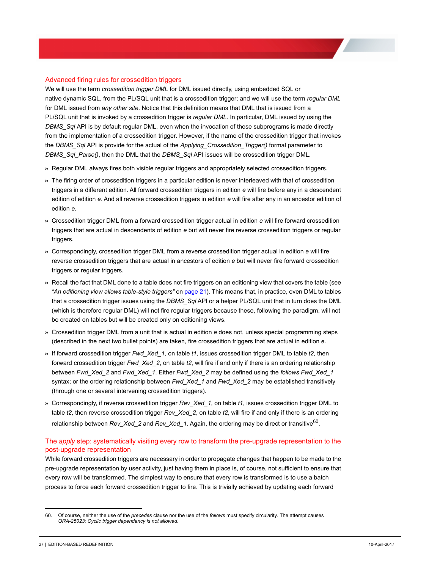### <span id="page-29-0"></span>Advanced firing rules for crossedition triggers

We will use the term *crossedition trigger DML* for DML issued directly, using embedded SQL or native dynamic SQL, from the PL/SQL unit that is a crossedition trigger; and we will use the term *regular DML* for DML issued from *any other site*. Notice that this definition means that DML that is issued from a PL/SQL unit that is invoked by a crossedition trigger is *regular DML*. In particular, DML issued by using the *DBMS\_Sql* API is by default regular DML, even when the invocation of these subprograms is made directly from the implementation of a crossedition trigger. However, if the name of the crossedition trigger that invokes the *DBMS\_Sql* API is provide for the actual of the *Applying\_Crossedition\_Trigger()* formal parameter to *DBMS\_Sql\_Parse()*, then the DML that the *DBMS\_Sql* API issues will be crossedition trigger DML.

- >> Regular DML always fires both visible regular triggers and appropriately selected crossedition triggers.
- >> The firing order of crossedition triggers in a particular edition is never interleaved with that of crossedition triggers in a different edition. All forward crossedition triggers in edition *e* will fire before any in a descendent edition of edition *e*. And all reverse crossedition triggers in edition *e* will fire after any in an ancestor edition of edition *e*.
- >> Crossedition trigger DML from a forward crossedition trigger actual in edition *e* will fire forward crossedition triggers that are actual in descendents of edition *e* but will never fire reverse crossedition triggers or regular triggers.
- >> Correspondingly, crossedition trigger DML from a reverse crossedition trigger actual in edition *e* will fire reverse crossedition triggers that are actual in ancestors of edition *e* but will never fire forward crossedition triggers or regular triggers.
- >> Recall the fact that DML done to a table does not fire triggers on an editioning view that covers the table (see *["An editioning view allows table-style triggers"](#page-23-2)* on page 21). This means that, in practice, even DML to tables that a crossedition trigger issues using the *DBMS\_Sql* API or a helper PL/SQL unit that in turn does the DML (which is therefore regular DML) will not fire regular triggers because these, following the paradigm, will not be created on tables but will be created only on editioning views.
- >> Crossedition trigger DML from a unit that is actual in edition *e* does not, unless special programming steps (described in the next two bullet points) are taken, fire crossedition triggers that are actual in edition *e*.
- >> If forward crossedition trigger *Fwd\_Xed\_1*, on table *t1*, issues crossedition trigger DML to table *t2*, then forward crossedition trigger *Fwd\_Xed\_2*, on table *t2*, will fire if and only if there is an ordering relationship between *Fwd\_Xed\_2* and *Fwd\_Xed\_1*. Either *Fwd\_Xed\_2* may be defined using the *follows Fwd\_Xed\_1* syntax; or the ordering relationship between *Fwd\_Xed\_1* and *Fwd\_Xed\_2* may be established transitively (through one or several intervening crossedition triggers).
- >> Correspondingly, if reverse crossedition trigger *Rev\_Xed\_1*, on table *t1*, issues crossedition trigger DML to table *t2*, then reverse crossedition trigger *Rev\_Xed\_2*, on table *t2*, will fire if and only if there is an ordering relationship between *Rev\_Xed\_2* and *Rev\_Xed\_1*. Again, the ordering may be direct or transitive60.

## <span id="page-29-1"></span>The *apply* step: systematically visiting every row to transform the pre-upgrade representation to the post-upgrade representation

While forward crossedition triggers are necessary in order to propagate changes that happen to be made to the pre-upgrade representation by user activity, just having them in place is, of course, not sufficient to ensure that every row will be transformed. The simplest way to ensure that every row is transformed is to use a batch process to force each forward crossedition trigger to fire. This is trivially achieved by updating each forward

<sup>60.</sup> Of course, neither the use of the *precedes* clause nor the use of the *follows* must specify circularity. The attempt causes *ORA-25023: Cyclic trigger dependency is not allowed*.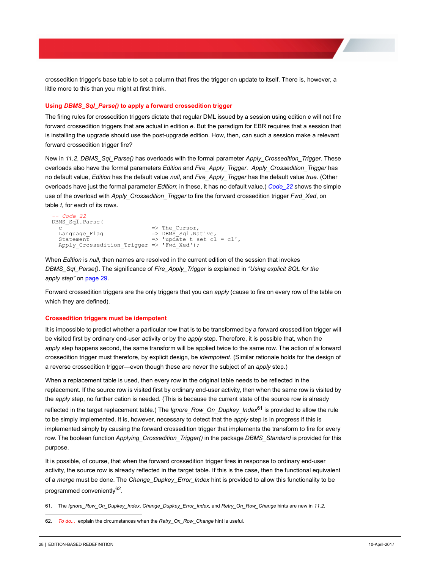crossedition trigger's base table to set a column that fires the trigger on update to itself. There is, however, a little more to this than you might at first think.

#### <span id="page-30-0"></span>**Using** *DBMS\_Sql\_Parse()* **to apply a forward crossedition trigger**

The firing rules for crossedition triggers dictate that regular DML issued by a session using edition *e* will not fire forward crossedition triggers that are actual in edition *e*. But the paradigm for EBR requires that a session that is installing the upgrade should use the post-upgrade edition. How, then, can such a session make a relevant forward crossedition trigger fire?

New in *11.2*, *DBMS\_Sql\_Parse()* has overloads with the formal parameter *Apply\_Crossedition\_Trigger*. These overloads also have the formal parameters *Edition* and *Fire\_Apply\_Trigger*. *Apply\_Crossedition\_Trigger* has no default value, *Edition* has the default value *null*, and *Fire\_Apply\_Trigger* has the default value *true*. (Other overloads have just the formal parameter *Edition*; in these, it has no default value.) *Code\_22* shows the simple use of the overload with *Apply\_Crossedition\_Trigger* to fire the forward crossedition trigger *Fwd\_Xed*, on table *t*, for each of its rows.

```
-- Code_22 
DBMS_Sql.Parse(
  c = The_Cursor,<br>
Language Flag = => DBMS Sql.Na
 Language_Flag => DBMS_Sql.Native,
 Statement => 'update t set c1 = c1',
  Apply_Crossedition Trigger => 'Fwd Xed');
```
When *Edition* is *null*, then names are resolved in the current edition of the session that invokes *DBMS\_Sql\_Parse()*. The significance of *Fire\_Apply\_Trigger* is explained in *["Using explicit SQL for the](#page-31-2)  apply step"* [on page 29](#page-31-2).

Forward crossedition triggers are the only triggers that you can *apply* (cause to fire on every row of the table on which they are defined).

#### <span id="page-30-1"></span>**Crossedition triggers must be idempotent**

It is impossible to predict whether a particular row that is to be transformed by a forward crossedition trigger will be visited first by ordinary end-user activity or by the *apply* step. Therefore, it is possible that, when the *apply* step happens second, the same transform will be applied twice to the same row. The action of a forward crossedition trigger must therefore, by explicit design, be *idempotent*. (Similar rationale holds for the design of a reverse crossedition trigger—even though these are never the subject of an *apply* step.)

When a replacement table is used, then every row in the original table needs to be reflected in the replacement. If the source row is visited first by ordinary end-user activity, then when the same row is visited by the *apply* step, no further cation is needed. (This is because the current state of the source row is already reflected in the target replacement table.) The *Ignore* Row On Dupkey Index<sup>61</sup> is provided to allow the rule to be simply implemented. It is, however, necessary to detect that the *apply* step is in progress if this is implemented simply by causing the forward crossedition trigger that implements the transform to fire for every row. The boolean function *Applying\_Crossedition\_Trigger()* in the package *DBMS\_Standard* is provided for this purpose.

It is possible, of course, that when the forward crossedition trigger fires in response to ordinary end-user activity, the source row is already reflected in the target table. If this is the case, then the functional equivalent of a *merge* must be done. The *Change\_Dupkey\_Error\_Index* hint is provided to allow this functionality to be programmed conveniently<sup>62</sup>.

<sup>61.</sup> The *Ignore\_Row\_On\_Dupkey\_Index*, *Change\_Dupkey\_Error\_Index*, and *Retry\_On\_Row\_Change* hints are new in *11.2*.

<sup>62.</sup> *To do...* explain the circumstances when the *Retry\_On\_Row\_Change* hint is useful.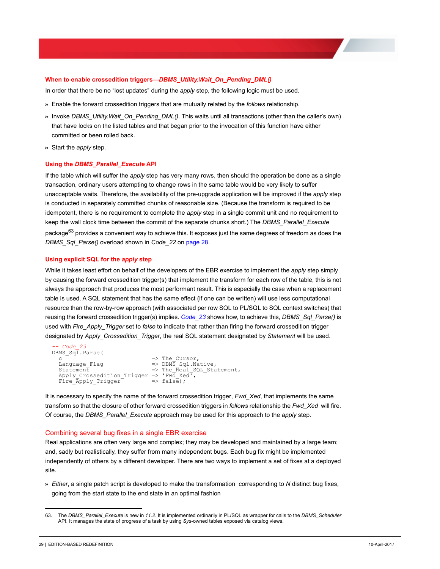#### <span id="page-31-0"></span>**When to enable crossedition triggers—***DBMS\_Utility.Wait\_On\_Pending\_DML()*

In order that there be no "lost updates" during the *apply* step, the following logic must be used.

- >> Enable the forward crossedition triggers that are mutually related by the *follows* relationship.
- >> Invoke *DBMS\_Utility.Wait\_On\_Pending\_DML()*. This waits until all transactions (other than the caller's own) that have locks on the listed tables and that began prior to the invocation of this function have either committed or been rolled back.
- >> Start the *apply* step.

#### <span id="page-31-1"></span>**Using the** *DBMS\_Parallel\_Execute* **API**

If the table which will suffer the *apply* step has very many rows, then should the operation be done as a single transaction, ordinary users attempting to change rows in the same table would be very likely to suffer unacceptable waits. Therefore, the availability of the pre-upgrade application will be improved if the *apply* step is conducted in separately committed chunks of reasonable size. (Because the transform is required to be idempotent, there is no requirement to complete the *apply* step in a single commit unit and no requirement to keep the wall clock time between the commit of the separate chunks short.) The *DBMS\_Parallel\_Execute* package<sup>63</sup> provides a convenient way to achieve this. It exposes just the same degrees of freedom as does the *DBMS\_Sql\_Parse()* overload shown in *Code\_22* on page 28.

#### <span id="page-31-2"></span>**Using explicit SQL for the** *apply* **step**

While it takes least effort on behalf of the developers of the EBR exercise to implement the *apply* step simply by causing the forward crossedition trigger(s) that implement the transform for each row of the table, this is not always the approach that produces the most performant result. This is especially the case when a replacement table is used. A SQL statement that has the same effect (if one can be written) will use less computational resource than the row-by-row approach (with associated per row SQL to PL/SQL to SQL context switches) that reusing the forward crossedition trigger(s) implies. *Code\_23* shows how, to achieve this, *DBMS\_Sql\_Parse()* is used with *Fire\_Apply\_Trigger* set to *false* to indicate that rather than firing the forward crossedition trigger designated by *Apply\_Crossedition\_Trigger*, the real SQL statement designated by *Statement* will be used.

```
-- Code_23 
DBMS_Sql.Parse(
 c => The_Cursor,
 Language_Flag => DBMS_Sql.Native,
Statement<br>Apply Crossedition Trigger => 'Fwd Xed',<br>
  Fire \overline{\text{Apply} - \text{Trigger}} => false);
```
It is necessary to specify the name of the forward crossedition trigger, Fwd Xed, that implements the same transform so that the closure of other forward crossedition triggers in *follows* relationship the *Fwd\_Xed* will fire. Of course, the *DBMS\_Parallel\_Execute* approach may be used for this approach to the *apply* step.

#### <span id="page-31-3"></span>Combining several bug fixes in a single EBR exercise

Real applications are often very large and complex; they may be developed and maintained by a large team; and, sadly but realistically, they suffer from many independent bugs. Each bug fix might be implemented independently of others by a different developer. There are two ways to implement a set of fixes at a deployed site.

>> *Either*, a single patch script is developed to make the transformation corresponding to *N* distinct bug fixes, going from the start state to the end state in an optimal fashion

<sup>63.</sup> The *DBMS\_Parallel\_Execute* is new in *11.2*. It is implemented ordinarily in PL/SQL as wrapper for calls to the *DBMS\_Scheduler* API. It manages the state of progress of a task by using *Sys*-owned tables exposed via catalog views.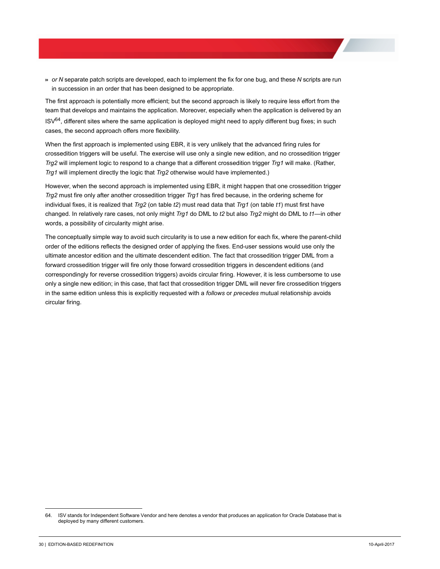>> *or N* separate patch scripts are developed, each to implement the fix for one bug, and these *N* scripts are run in succession in an order that has been designed to be appropriate.

The first approach is potentially more efficient; but the second approach is likely to require less effort from the team that develops and maintains the application. Moreover, especially when the application is delivered by an  $ISV<sup>64</sup>$ , different sites where the same application is deployed might need to apply different bug fixes; in such cases, the second approach offers more flexibility.

When the first approach is implemented using EBR, it is very unlikely that the advanced firing rules for crossedition triggers will be useful. The exercise will use only a single new edition, and no crossedition trigger *Trg2* will implement logic to respond to a change that a different crossedition trigger *Trg1* will make. (Rather, *Trg1* will implement directly the logic that *Trg2* otherwise would have implemented.)

However, when the second approach is implemented using EBR, it might happen that one crossedition trigger *Trg2* must fire only after another crossedition trigger *Trg1* has fired because, in the ordering scheme for individual fixes, it is realized that *Trg2* (on table *t2*) must read data that *Trg1* (on table *t1*) must first have changed. In relatively rare cases, not only might *Trg1* do DML to *t2* but also *Trg2* might do DML to *t1—*in other words, a possibility of circularity might arise.

The conceptually simple way to avoid such circularity is to use a new edition for each fix, where the parent-child order of the editions reflects the designed order of applying the fixes. End-user sessions would use only the ultimate ancestor edition and the ultimate descendent edition. The fact that crossedition trigger DML from a forward crossedition trigger will fire only those forward crossedition triggers in descendent editions (and correspondingly for reverse crossedition triggers) avoids circular firing. However, it is less cumbersome to use only a single new edition; in this case, that fact that crossedition trigger DML will never fire crossedition triggers in the same edition unless this is explicitly requested with a *follows* or *precedes* mutual relationship avoids circular firing.

<sup>64.</sup> ISV stands for Independent Software Vendor and here denotes a vendor that produces an application for Oracle Database that is deployed by many different customers.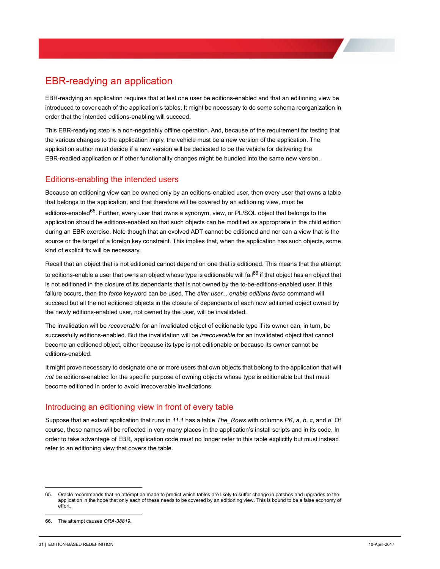# <span id="page-33-0"></span>EBR-readying an application

EBR-readying an application requires that at lest one user be editions-enabled and that an editioning view be introduced to cover each of the application's tables. It might be necessary to do some schema reorganization in order that the intended editions-enabling will succeed.

This EBR-readying step is a non-negotiably offline operation. And, because of the requirement for testing that the various changes to the application imply, the vehicle must be a new version of the application. The application author must decide if a new version will be dedicated to be the vehicle for delivering the EBR-readied application or if other functionality changes might be bundled into the same new version.

# <span id="page-33-1"></span>Editions-enabling the intended users

Because an editioning view can be owned only by an editions-enabled user, then every user that owns a table that belongs to the application, and that therefore will be covered by an editioning view, must be editions-enabled<sup>65</sup>. Further, every user that owns a synonym, view, or PL/SQL object that belongs to the application should be editions-enabled so that such objects can be modified as appropriate in the child edition during an EBR exercise. Note though that an evolved ADT cannot be editioned and nor can a view that is the source or the target of a foreign key constraint. This implies that, when the application has such objects, some kind of explicit fix will be necessary.

Recall that an object that is not editioned cannot depend on one that is editioned. This means that the attempt to editions-enable a user that owns an object whose type is editionable will fail<sup>66</sup> if that object has an object that is not editioned in the closure of its dependants that is not owned by the to-be-editions-enabled user. If this failure occurs, then the *force* keyword can be used. The *alter user... enable editions force* command will succeed but all the not editioned objects in the closure of dependants of each now editioned object owned by the newly editions-enabled user, not owned by the user, will be invalidated.

The invalidation will be *recoverable* for an invalidated object of editionable type if its owner can, in turn, be successfully editions-enabled. But the invalidation will be *irrecoverable* for an invalidated object that cannot become an editioned object, either because its type is not editionable or because its owner cannot be editions-enabled.

It might prove necessary to designate one or more users that own objects that belong to the application that will *not* be editions-enabled for the specific purpose of owning objects whose type is editionable but that must become editioned in order to avoid irrecoverable invalidations.

# <span id="page-33-2"></span>Introducing an editioning view in front of every table

Suppose that an extant application that runs in *11.1* has a table *The\_Rows* with columns *PK*, *a*, *b*, *c*, and *d*. Of course, these names will be reflected in very many places in the application's install scripts and in its code. In order to take advantage of EBR, application code must no longer refer to this table explicitly but must instead refer to an editioning view that covers the table.

<sup>65.</sup> Oracle recommends that no attempt be made to predict which tables are likely to suffer change in patches and upgrades to the application in the hope that only each of these needs to be covered by an editioning view. This is bound to be a false economy of effort.

<sup>66.</sup> The attempt causes *ORA-38819*.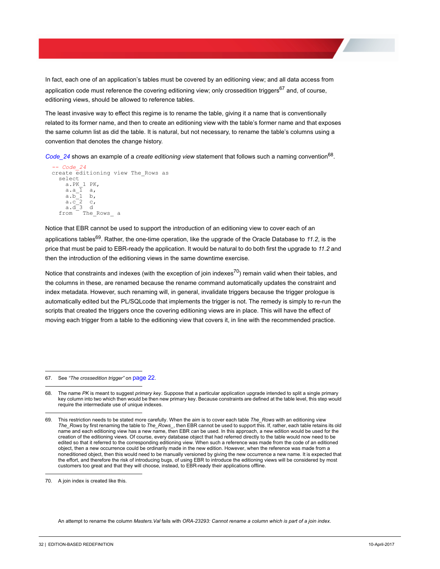In fact, each one of an application's tables must be covered by an editioning view; and all data access from application code must reference the covering editioning view; only crossedition triggers<sup>67</sup> and, of course, editioning views, should be allowed to reference tables.

The least invasive way to effect this regime is to rename the table, giving it a name that is conventionally related to its former name, and then to create an editioning view with the table's former name and that exposes the same column list as did the table. It is natural, but not necessary, to rename the table's columns using a convention that denotes the change history.

*Code\_24* shows an example of a *create editioning view* statement that follows such a naming convention68.

```
-- Code_24 n/a
create editioning view The_Rows as
   select
      a.PK_1 PK,
     a.a\overline{1} a,
a.b_1 b,<br>
a.c_2 c,<br>
a.d_3 d
   from The_Rows_ a
```
Notice that EBR cannot be used to support the introduction of an editioning view to cover each of an applications tables69. Rather, the one-time operation, like the upgrade of the Oracle Database to *11.2*, is the price that must be paid to EBR-ready the application. It would be natural to do both first the upgrade to *11.2* and then the introduction of the editioning views in the same downtime exercise.

Notice that constraints and indexes (with the exception of join indexes<sup>70</sup>) remain valid when their tables, and the columns in these, are renamed because the rename command automatically updates the constraint and index metadata. However, such renaming will, in general, invalidate triggers because the trigger prologue is automatically edited but the PL/SQLcode that implements the trigger is not. The remedy is simply to re-run the scripts that created the triggers once the covering editioning views are in place. This will have the effect of moving each trigger from a table to the editioning view that covers it, in line with the recommended practice.

67. See *["The crossedition trigger"](#page-24-2)* on page 22.

An attempt to rename the column *Masters.Val* fails with *ORA-23293: Cannot rename a column which is part of a join index*.

<sup>68.</sup> The name *PK* is meant to suggest *primary key*. Suppose that a particular application upgrade intended to split a single primary key column into two which then would be then new primary key. Because constraints are defined at the table level, this step would require the intermediate use of unique indexes.

<sup>69.</sup> This restriction needs to be stated more carefully. When the aim is to cover each table *The\_Rows* with an editioning view *The\_Rows* by first renaming the table to *The\_Rows\_*, then EBR cannot be used to support this. If, rather, each table retains its old name and each editioning view has a new name, then EBR *can* be used. In this approach, a new edition would be used for the creation of the editioning views. Of course, every database object that had referred directly to the table would now need to be edited so that it referred to the corresponding editioning view. When such a reference was made from the code of an editioned object, then a new occurrence could be ordinarily made in the new edition. However, when the reference was made from a noneditioned object, then this would need to be manually versioned by giving the new occurrence a new name. It is expected that the effort, and therefore the risk of introducing bugs, of using EBR to introduce the editioning views will be considered by most customers too great and that they will choose, instead, to EBR-ready their applications offline.

<sup>70.</sup> A join index is created like this.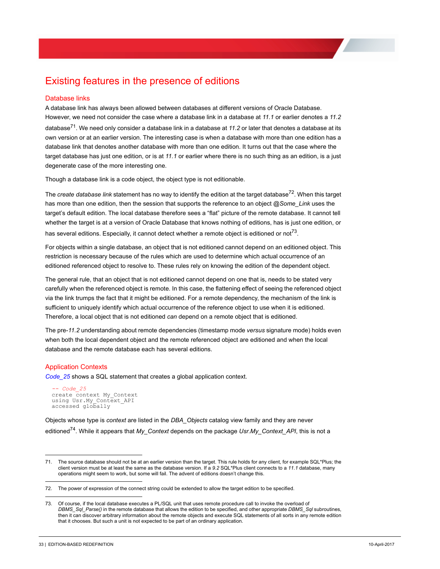# <span id="page-35-0"></span>Existing features in the presence of editions

### <span id="page-35-1"></span>Database links

A database link has always been allowed between databases at different versions of Oracle Database. However, we need not consider the case where a database link in a database at *11.1* or earlier denotes a *11.2* database71. We need only consider a database link in a database at *11.2* or later that denotes a database at its own version or at an earlier version. The interesting case is when a database with more than one edition has a database link that denotes another database with more than one edition. It turns out that the case where the target database has just one edition, or is at *11.1* or earlier where there is no such thing as an edition, is a just degenerate case of the more interesting one.

Though a database link is a code object, the object type is not editionable.

The *create database link* statement has no way to identify the edition at the target database<sup>72</sup>. When this target has more than one edition, then the session that supports the reference to an object *@Some\_Link* uses the target's default edition. The local database therefore sees a "flat" picture of the remote database. It cannot tell whether the target is at a version of Oracle Database that knows nothing of editions, has is just one edition, or has several editions. Especially, it cannot detect whether a remote object is editioned or not<sup>73</sup>.

For objects within a single database, an object that is not editioned cannot depend on an editioned object. This restriction is necessary because of the rules which are used to determine which actual occurrence of an editioned referenced object to resolve to. These rules rely on knowing the edition of the dependent object.

The general rule, that an object that is not editioned cannot depend on one that is, needs to be stated very carefully when the referenced object is remote. In this case, the flattening effect of seeing the referenced object via the link trumps the fact that it might be editioned. For a remote dependency, the mechanism of the link is sufficient to uniquely identify which actual occurrence of the reference object to use when it is editioned. Therefore, a local object that is not editioned *can* depend on a remote object that is editioned.

The pre-*11.2* understanding about remote dependencies (timestamp mode *versus* signature mode) holds even when both the local dependent object and the remote referenced object are editioned and when the local database and the remote database each has several editions.

### <span id="page-35-2"></span>Application Contexts

*Code\_25* shows a SQL statement that creates a global application context.

*-- Code\_25*<br>create context My Context using Usr.My\_Context\_API accessed globally

Objects whose type is *context* are listed in the *DBA\_Objects* catalog view family and they are never editioned74. While it appears that *My\_Context* depends on the package *Usr.My\_Context\_API*, this is not a

<sup>71.</sup> The source database should not be at an earlier version than the target. This rule holds for any client, for example SQL\*Plus; the client version must be at least the same as the database version. If a *9.2* SQL\*Plus client connects to a *11.1* database, many operations might seem to work, but some will fail. The advent of editions doesn't change this.

<sup>72.</sup> The power of expression of the connect string could be extended to allow the target edition to be specified.

<sup>73.</sup> Of course, if the local database executes a PL/SQL unit that uses remote procedure call to invoke the overload of *DBMS\_Sql\_Parse()* in the remote database that allows the edition to be specified, and other appropriate *DBMS\_Sql* subroutines, then it can discover arbitrary information about the remote objects and execute SQL statements of all sorts in any remote edition that it chooses. But such a unit is not expected to be part of an ordinary application.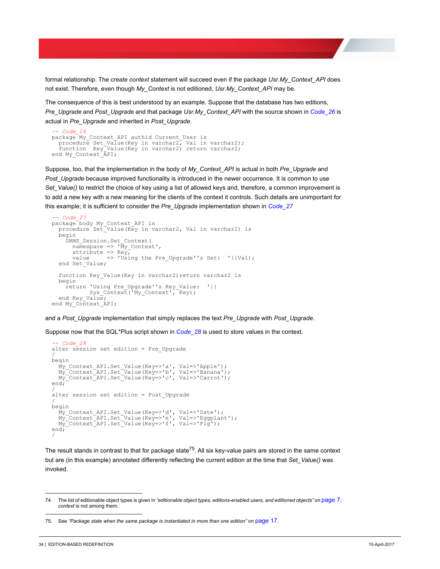formal relationship. The *create context* statement will succeed even if the package *Usr.My\_Context\_API* does not exist. Therefore, even though *My\_Context* is not editioned, *Usr.My\_Context\_API* may be.

The consequence of this is best understood by an example. Suppose that the database has two editions,

*Pre\_Upgrade* and *Post\_Upgrade* and that package *Usr.My\_Context\_API* with the source shown in *Code\_26* is actual in *Pre\_Upgrade* and inherited in *Post\_Upgrade*.

```
-- Code_26<br>package My_Context_API authid Current_User is<br>procedure Set Value(Key in varchar2, Val in varchar2);
function Key Value(Key in varchar2) return varchar2;
end My_Context_API;
```
Suppose, too, that the implementation in the body of *My\_Context\_API* is actual in both *Pre\_Upgrade* and *Post\_Upgrade* because improved functionality is introduced in the newer occurrence. It is common to use *Set Value()* to restrict the choice of key using a list of allowed keys and, therefore, a common improvement is to add a new key with a new meaning for the clients of the context it controls. Such details are unimportant for this example; it is sufficient to consider the *Pre\_Upgrade* implementation shown in *Code\_27*

```
-- Code_27 Application_Context\Demo.sql
package body My_Context_API is
  procedure Set Value(Key in varchar2, Val in varchar2) is
   begin
    DBMS Session.Set Context(
      namespace \Rightarrow 'My Context',
      attribute => Key,<br>value => 'Usi
                 \Rightarrow 'Using the Pre Upgrade''s Set: '||Val);
   end Set_Value;
  function Key Value(Key in varchar2) return varchar2 is
   begin
     return 'Using Pre_Upgrade''s Key_Value: '||
            Sys_Context('My_Context', Key);
  end Key Value;
end My_Context_API;
```
and a *Post\_Upgrade* implementation that simply replaces the text *Pre\_Upgrade* with *Post\_Upgrade*.

Suppose now that the SQL\*Plus script shown in *Code\_28* is used to store values in the context.

```
-- Code_28 Application_Context\Demo.sql
alter session set edition = Pre_Upgrade
/
begin
 My_Context_API.Set_Value(Key=>'a', Val=>'Apple');
 My_Context_API.Set_Value(Key=>'b', Val=>'Banana');
 My_Context_API.Set_Value(Key=>'c', Val=>'Carrot');
end;
/
alter session set edition = Post_Upgrade
/
begin
    My_Context_API.Set_Value(Key=>'d', Val=>'Date');
 My_Context_API.Set_Value(Key=>'e', Val=>'Eggplant');
 My_Context_API.Set_Value(Key=>'f', Val=>'Fig');
end;
/
```
The result stands in contrast to that for package state<sup>75</sup>. All six key-value pairs are stored in the same context but are (in this example) annotated differently reflecting the current edition at the time that *Set\_Value()* was invoked.

<sup>74.</sup> The list of editionable object types is given in *["editionable object types, editions-enabled users, and editioned objects"](#page-9-0)* on page 7; *context* is not among them.

<sup>75.</sup> See *["Package state when the same package is instantiated in more than one edition"](#page-19-1)* on page 17.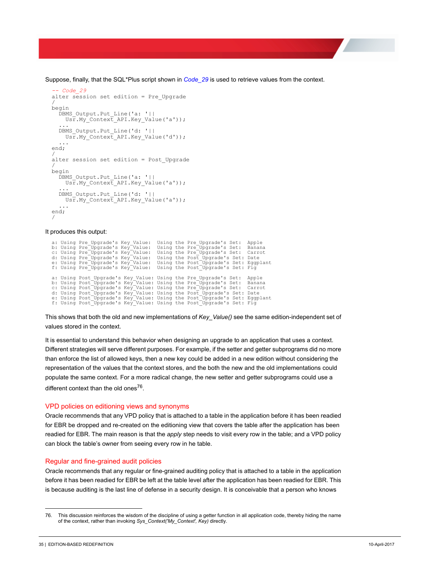Suppose, finally, that the SQL\*Plus script shown in *Code\_29* is used to retrieve values from the context.

```
- Code 29
alter session set edition = Pre_Upgrade
/
begin
   DBMS_Output.Put_Line('a: '||
    Usr.My Context API.Key Value('a'));
 ...
 DBMS_Output.Put_Line('d: '||
    USF. My Context API.Key Value('d'));
 ...
end;
/
alter session set edition = Post_Upgrade
/
begin
DBMS_Output.Put_Line('a: '||<br>Usr.My Context API.Key Value('a'));
 ...
 DBMS_Output.Put_Line('d: '||
 Usr.My_Context_API.Key_Value('a'));
 ...
end;
/
```
It produces this output:

```
a: Using Pre_Upgrade's Key_Value: Using the Pre_Upgrade's Set: Apple<br>b: Using Pre_Upgrade's Key_Value: Using the Pre_Upgrade's Set: Banana<br>c: Using Pre_Upgrade's Key_Value: Using the Pre_Upgrade's Set: Carrot<br>d: Using Pre_
a: Using Post_Upgrade's Key_Value: Using the Pre_Upgrade's Set: Apple<br>b: Using Post_Upgrade's Key_Value: Using the Pre_Upgrade's Set: Banana<br>c: Using Post_Upgrade's Key_Value: Using the Pre_Upgrade's Set: Carrot<br>d: Using P
```
This shows that both the old and new implementations of *Key\_Value()* see the same edition-independent set of values stored in the context.

It is essential to understand this behavior when designing an upgrade to an application that uses a context. Different strategies will serve different purposes. For example, if the setter and getter subprograms did no more than enforce the list of allowed keys, then a new key could be added in a new edition without considering the representation of the values that the context stores, and the both the new and the old implementations could populate the same context. For a more radical change, the new setter and getter subprograms could use a different context than the old ones<sup>76</sup>.

#### <span id="page-37-0"></span>VPD policies on editioning views and synonyms

Oracle recommends that any VPD policy that is attached to a table in the application before it has been readied for EBR be dropped and re-created on the editioning view that covers the table after the application has been readied for EBR. The main reason is that the *apply* step needs to visit every row in the table; and a VPD policy can block the table's owner from seeing every row in he table.

#### <span id="page-37-1"></span>Regular and fine-grained audit policies

Oracle recommends that any regular or fine-grained auditing policy that is attached to a table in the application before it has been readied for EBR be left at the table level after the application has been readied for EBR. This is because auditing is the last line of defense in a security design. It is conceivable that a person who knows

<sup>76.</sup> This discussion reinforces the wisdom of the discipline of using a getter function in all application code, thereby hiding the name of the context, rather than invoking *Sys\_Context('My\_Context', Key)* directly.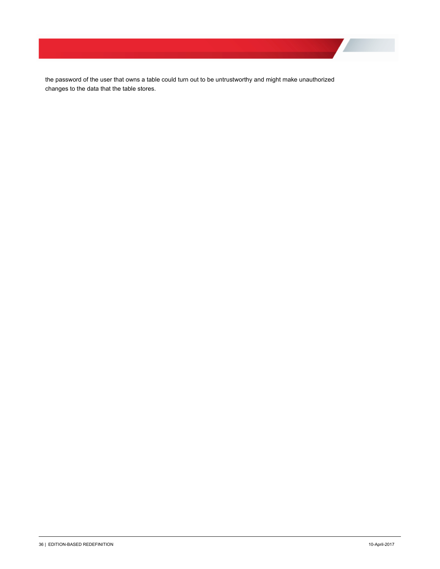the password of the user that owns a table could turn out to be untrustworthy and might make unauthorized changes to the data that the table stores.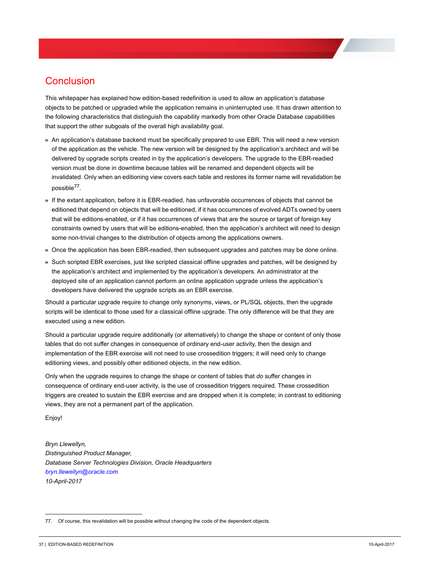# <span id="page-39-0"></span>Conclusion

This whitepaper has explained how edition-based redefinition is used to allow an application's database objects to be patched or upgraded while the application remains in uninterrupted use. It has drawn attention to the following characteristics that distinguish the capability markedly from other Oracle Database capabilities that support the other subgoals of the overall high availability goal.

- >> An application's database backend must be specifically prepared to use EBR. This will need a new version of the application as the vehicle. The new version will be designed by the application's architect and will be delivered by upgrade scripts created in by the application's developers. The upgrade to the EBR-readied version must be done in downtime because tables will be renamed and dependent objects will be invalidated. Only when an editioning view covers each table and restores its former name will revalidation be possible77.
- >> If the extant application, before it is EBR-readied, has unfavorable occurrences of objects that cannot be editioned that depend on objects that will be editioned, if it has occurrences of evolved ADTs owned by users that will be editions-enabled, or if it has occurrences of views that are the source or target of foreign key constraints owned by users that will be editions-enabled, then the application's architect will need to design some non-trivial changes to the distribution of objects among the applications owners.
- >> Once the application has been EBR-readied, then subsequent upgrades and patches may be done online.
- >> Such scripted EBR exercises, just like scripted classical offline upgrades and patches, will be designed by the application's architect and implemented by the application's developers. An administrator at the deployed site of an application cannot perform an online application upgrade unless the application's developers have delivered the upgrade scripts as an EBR exercise.

Should a particular upgrade require to change only synonyms, views, or PL/SQL objects, then the upgrade scripts will be identical to those used for a classical offline upgrade. The only difference will be that they are executed using a new edition.

Should a particular upgrade require additionally (or alternatively) to change the shape or content of only those tables that do not suffer changes in consequence of ordinary end-user activity, then the design and implementation of the EBR exercise will not need to use crossedition triggers; it will need only to change editioning views, and possibly other editioned objects, in the new edition.

Only when the upgrade requires to change the shape or content of tables that *do* suffer changes in consequence of ordinary end-user activity, is the use of crossedition triggers required. These crossedition triggers are created to sustain the EBR exercise and are dropped when it is complete; in contrast to editioning views, they are not a permanent part of the application.

Enjoy!

*Bryn Llewellyn, Distinguished Product Manager, Database Server Technologies Division, Oracle Headquarters [bryn.llewellyn@oracle.com](mailto:bryn.llewellyn@oracle.com) 10-April-2017*

<sup>77.</sup> Of course, this revalidation will be possible without changing the code of the dependent objects.